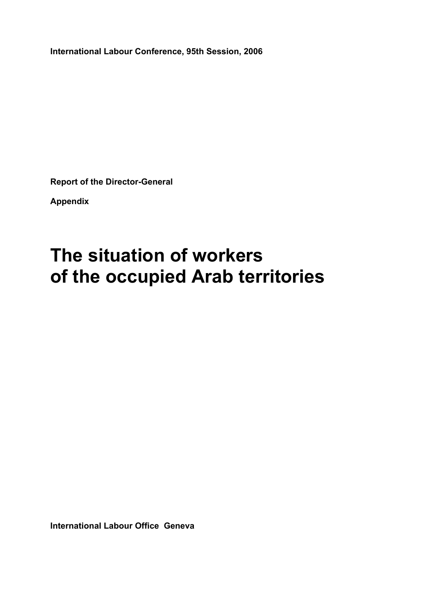**International Labour Conference, 95th Session, 2006** 

**Report of the Director-General** 

**Appendix** 

# **The situation of workers of the occupied Arab territories**

**International Labour Office Geneva**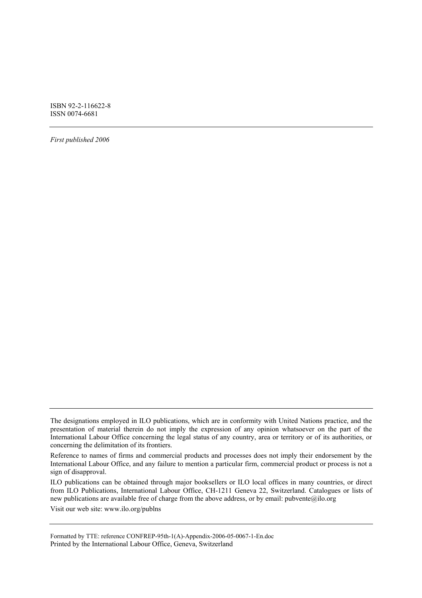ISBN 92-2-116622-8 ISSN 0074-6681

*First published 2006* 

Visit our web site: www.ilo.org/publns

Formatted by TTE: reference CONFREP-95th-1(A)-Appendix-2006-05-0067-1-En.doc Printed by the International Labour Office, Geneva, Switzerland

The designations employed in ILO publications, which are in conformity with United Nations practice, and the presentation of material therein do not imply the expression of any opinion whatsoever on the part of the International Labour Office concerning the legal status of any country, area or territory or of its authorities, or concerning the delimitation of its frontiers.

Reference to names of firms and commercial products and processes does not imply their endorsement by the International Labour Office, and any failure to mention a particular firm, commercial product or process is not a sign of disapproval.

ILO publications can be obtained through major booksellers or ILO local offices in many countries, or direct from ILO Publications, International Labour Office, CH-1211 Geneva 22, Switzerland. Catalogues or lists of new publications are available free of charge from the above address, or by email: pubvente@ilo.org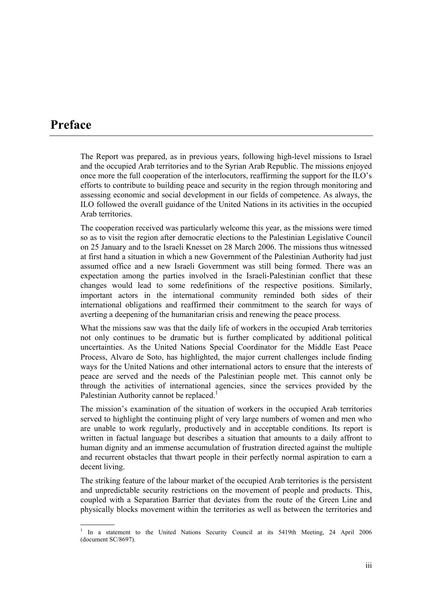# **Preface**

The Report was prepared, as in previous years, following high-level missions to Israel and the occupied Arab territories and to the Syrian Arab Republic. The missions enjoyed once more the full cooperation of the interlocutors, reaffirming the support for the ILO's efforts to contribute to building peace and security in the region through monitoring and assessing economic and social development in our fields of competence. As always, the ILO followed the overall guidance of the United Nations in its activities in the occupied Arab territories.

The cooperation received was particularly welcome this year, as the missions were timed so as to visit the region after democratic elections to the Palestinian Legislative Council on 25 January and to the Israeli Knesset on 28 March 2006. The missions thus witnessed at first hand a situation in which a new Government of the Palestinian Authority had just assumed office and a new Israeli Government was still being formed. There was an expectation among the parties involved in the Israeli-Palestinian conflict that these changes would lead to some redefinitions of the respective positions. Similarly, important actors in the international community reminded both sides of their international obligations and reaffirmed their commitment to the search for ways of averting a deepening of the humanitarian crisis and renewing the peace process.

What the missions saw was that the daily life of workers in the occupied Arab territories not only continues to be dramatic but is further complicated by additional political uncertainties. As the United Nations Special Coordinator for the Middle East Peace Process, Alvaro de Soto, has highlighted, the major current challenges include finding ways for the United Nations and other international actors to ensure that the interests of peace are served and the needs of the Palestinian people met. This cannot only be through the activities of international agencies, since the services provided by the Palestinian Authority cannot be replaced.<sup>1</sup>

The mission's examination of the situation of workers in the occupied Arab territories served to highlight the continuing plight of very large numbers of women and men who are unable to work regularly, productively and in acceptable conditions. Its report is written in factual language but describes a situation that amounts to a daily affront to human dignity and an immense accumulation of frustration directed against the multiple and recurrent obstacles that thwart people in their perfectly normal aspiration to earn a decent living.

The striking feature of the labour market of the occupied Arab territories is the persistent and unpredictable security restrictions on the movement of people and products. This, coupled with a Separation Barrier that deviates from the route of the Green Line and physically blocks movement within the territories as well as between the territories and

<sup>1</sup> In a statement to the United Nations Security Council at its 5419th Meeting, 24 April 2006 (document SC/8697).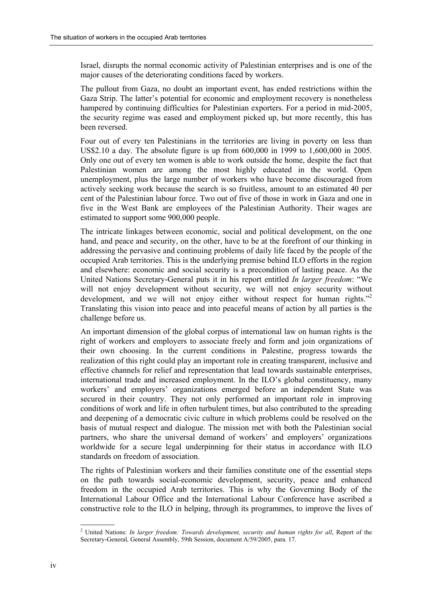Israel, disrupts the normal economic activity of Palestinian enterprises and is one of the major causes of the deteriorating conditions faced by workers.

The pullout from Gaza, no doubt an important event, has ended restrictions within the Gaza Strip. The latter's potential for economic and employment recovery is nonetheless hampered by continuing difficulties for Palestinian exporters. For a period in mid-2005, the security regime was eased and employment picked up, but more recently, this has been reversed.

Four out of every ten Palestinians in the territories are living in poverty on less than US\$2.10 a day. The absolute figure is up from 600,000 in 1999 to 1,600,000 in 2005. Only one out of every ten women is able to work outside the home, despite the fact that Palestinian women are among the most highly educated in the world. Open unemployment, plus the large number of workers who have become discouraged from actively seeking work because the search is so fruitless, amount to an estimated 40 per cent of the Palestinian labour force. Two out of five of those in work in Gaza and one in five in the West Bank are employees of the Palestinian Authority. Their wages are estimated to support some 900,000 people.

The intricate linkages between economic, social and political development, on the one hand, and peace and security, on the other, have to be at the forefront of our thinking in addressing the pervasive and continuing problems of daily life faced by the people of the occupied Arab territories. This is the underlying premise behind ILO efforts in the region and elsewhere: economic and social security is a precondition of lasting peace. As the United Nations Secretary-General puts it in his report entitled *In larger freedom*: "We will not enjoy development without security, we will not enjoy security without development, and we will not enjoy either without respect for human rights.<sup>72</sup> Translating this vision into peace and into peaceful means of action by all parties is the challenge before us.

An important dimension of the global corpus of international law on human rights is the right of workers and employers to associate freely and form and join organizations of their own choosing. In the current conditions in Palestine, progress towards the realization of this right could play an important role in creating transparent, inclusive and effective channels for relief and representation that lead towards sustainable enterprises, international trade and increased employment. In the  $\rm ILO$ 's global constituency, many workers' and employers' organizations emerged before an independent State was secured in their country. They not only performed an important role in improving conditions of work and life in often turbulent times, but also contributed to the spreading and deepening of a democratic civic culture in which problems could be resolved on the basis of mutual respect and dialogue. The mission met with both the Palestinian social partners, who share the universal demand of workers' and employers' organizations worldwide for a secure legal underpinning for their status in accordance with ILO standards on freedom of association.

The rights of Palestinian workers and their families constitute one of the essential steps on the path towards social-economic development, security, peace and enhanced freedom in the occupied Arab territories. This is why the Governing Body of the International Labour Office and the International Labour Conference have ascribed a constructive role to the ILO in helping, through its programmes, to improve the lives of

 2 United Nations: *In larger freedom: Towards development, security and human rights for all*, Report of the Secretary-General, General Assembly, 59th Session, document A/59/2005, para. 17.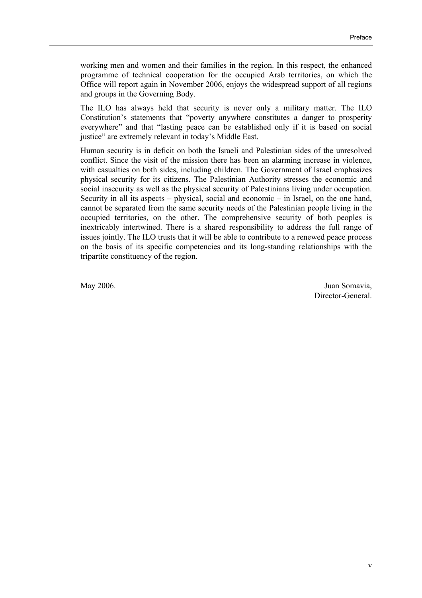working men and women and their families in the region. In this respect, the enhanced programme of technical cooperation for the occupied Arab territories, on which the Office will report again in November 2006, enjoys the widespread support of all regions and groups in the Governing Body.

The ILO has always held that security is never only a military matter. The ILO Constitution's statements that "poverty anywhere constitutes a danger to prosperity everywhere" and that "lasting peace can be established only if it is based on social justice" are extremely relevant in today's Middle East.

Human security is in deficit on both the Israeli and Palestinian sides of the unresolved conflict. Since the visit of the mission there has been an alarming increase in violence, with casualties on both sides, including children. The Government of Israel emphasizes physical security for its citizens. The Palestinian Authority stresses the economic and social insecurity as well as the physical security of Palestinians living under occupation. Security in all its aspects – physical, social and economic – in Israel, on the one hand, cannot be separated from the same security needs of the Palestinian people living in the occupied territories, on the other. The comprehensive security of both peoples is inextricably intertwined. There is a shared responsibility to address the full range of issues jointly. The ILO trusts that it will be able to contribute to a renewed peace process on the basis of its specific competencies and its long-standing relationships with the tripartite constituency of the region.

May 2006. Juan Somavia, Director-General.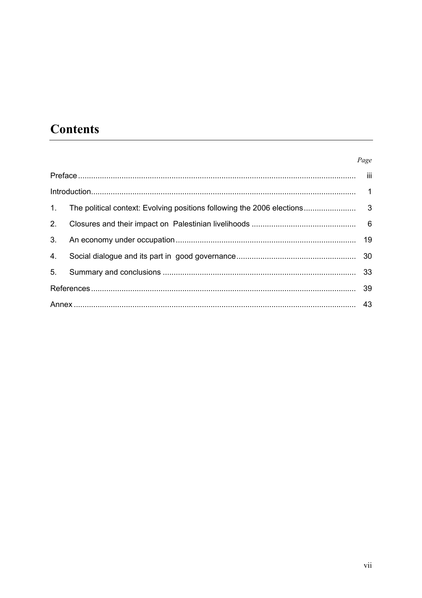# **Contents**

#### Page

| 1.             |  |
|----------------|--|
| 2.             |  |
| 3 <sub>1</sub> |  |
| 4.             |  |
| 5.             |  |
|                |  |
|                |  |
|                |  |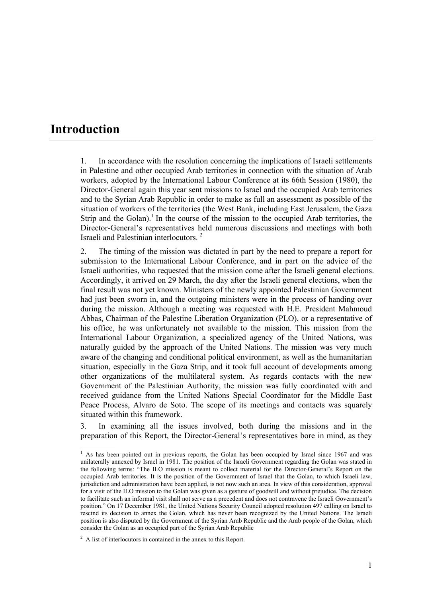## **Introduction**

1. In accordance with the resolution concerning the implications of Israeli settlements in Palestine and other occupied Arab territories in connection with the situation of Arab workers, adopted by the International Labour Conference at its 66th Session (1980), the Director-General again this year sent missions to Israel and the occupied Arab territories and to the Syrian Arab Republic in order to make as full an assessment as possible of the situation of workers of the territories (the West Bank, including East Jerusalem, the Gaza Strip and the Golan).<sup>1</sup> In the course of the mission to the occupied Arab territories, the Director-General's representatives held numerous discussions and meetings with both Israeli and Palestinian interlocutors. 2

2. The timing of the mission was dictated in part by the need to prepare a report for submission to the International Labour Conference, and in part on the advice of the Israeli authorities, who requested that the mission come after the Israeli general elections. Accordingly, it arrived on 29 March, the day after the Israeli general elections, when the final result was not yet known. Ministers of the newly appointed Palestinian Government had just been sworn in, and the outgoing ministers were in the process of handing over during the mission. Although a meeting was requested with H.E. President Mahmoud Abbas, Chairman of the Palestine Liberation Organization (PLO), or a representative of his office, he was unfortunately not available to the mission. This mission from the International Labour Organization, a specialized agency of the United Nations, was naturally guided by the approach of the United Nations. The mission was very much aware of the changing and conditional political environment, as well as the humanitarian situation, especially in the Gaza Strip, and it took full account of developments among other organizations of the multilateral system. As regards contacts with the new Government of the Palestinian Authority, the mission was fully coordinated with and received guidance from the United Nations Special Coordinator for the Middle East Peace Process, Alvaro de Soto. The scope of its meetings and contacts was squarely situated within this framework.

3. In examining all the issues involved, both during the missions and in the preparation of this Report, the Director-General's representatives bore in mind, as they

<sup>&</sup>lt;sup>1</sup> As has been pointed out in previous reports, the Golan has been occupied by Israel since 1967 and was unilaterally annexed by Israel in 1981. The position of the Israeli Government regarding the Golan was stated in the following terms: "The ILO mission is meant to collect material for the Director-General's Report on the occupied Arab territories. It is the position of the Government of Israel that the Golan, to which Israeli law, jurisdiction and administration have been applied, is not now such an area. In view of this consideration, approval for a visit of the ILO mission to the Golan was given as a gesture of goodwill and without prejudice. The decision to facilitate such an informal visit shall not serve as a precedent and does not contravene the Israeli Governmentís position." On 17 December 1981, the United Nations Security Council adopted resolution 497 calling on Israel to rescind its decision to annex the Golan, which has never been recognized by the United Nations. The Israeli position is also disputed by the Government of the Syrian Arab Republic and the Arab people of the Golan, which consider the Golan as an occupied part of the Syrian Arab Republic

 $2^2$  A list of interlocutors in contained in the annex to this Report.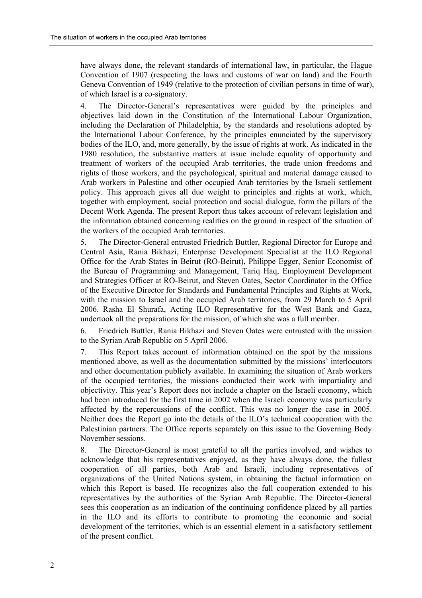have always done, the relevant standards of international law, in particular, the Hague Convention of 1907 (respecting the laws and customs of war on land) and the Fourth Geneva Convention of 1949 (relative to the protection of civilian persons in time of war), of which Israel is a co-signatory.

4. The Director-Generalís representatives were guided by the principles and objectives laid down in the Constitution of the International Labour Organization, including the Declaration of Philadelphia, by the standards and resolutions adopted by the International Labour Conference, by the principles enunciated by the supervisory bodies of the ILO, and, more generally, by the issue of rights at work. As indicated in the 1980 resolution, the substantive matters at issue include equality of opportunity and treatment of workers of the occupied Arab territories, the trade union freedoms and rights of those workers, and the psychological, spiritual and material damage caused to Arab workers in Palestine and other occupied Arab territories by the Israeli settlement policy. This approach gives all due weight to principles and rights at work, which, together with employment, social protection and social dialogue, form the pillars of the Decent Work Agenda. The present Report thus takes account of relevant legislation and the information obtained concerning realities on the ground in respect of the situation of the workers of the occupied Arab territories.

5. The Director-General entrusted Friedrich Buttler, Regional Director for Europe and Central Asia, Rania Bikhazi, Enterprise Development Specialist at the ILO Regional Office for the Arab States in Beirut (RO-Beirut), Philippe Egger, Senior Economist of the Bureau of Programming and Management, Tariq Haq, Employment Development and Strategies Officer at RO-Beirut, and Steven Oates, Sector Coordinator in the Office of the Executive Director for Standards and Fundamental Principles and Rights at Work, with the mission to Israel and the occupied Arab territories, from 29 March to 5 April 2006. Rasha El Shurafa, Acting ILO Representative for the West Bank and Gaza, undertook all the preparations for the mission, of which she was a full member.

6. Friedrich Buttler, Rania Bikhazi and Steven Oates were entrusted with the mission to the Syrian Arab Republic on 5 April 2006.

7. This Report takes account of information obtained on the spot by the missions mentioned above, as well as the documentation submitted by the missions' interlocutors and other documentation publicly available. In examining the situation of Arab workers of the occupied territories, the missions conducted their work with impartiality and objectivity. This yearís Report does not include a chapter on the Israeli economy, which had been introduced for the first time in 2002 when the Israeli economy was particularly affected by the repercussions of the conflict. This was no longer the case in 2005. Neither does the Report go into the details of the ILO's technical cooperation with the Palestinian partners. The Office reports separately on this issue to the Governing Body November sessions.

8. The Director-General is most grateful to all the parties involved, and wishes to acknowledge that his representatives enjoyed, as they have always done, the fullest cooperation of all parties, both Arab and Israeli, including representatives of organizations of the United Nations system, in obtaining the factual information on which this Report is based. He recognizes also the full cooperation extended to his representatives by the authorities of the Syrian Arab Republic. The Director-General sees this cooperation as an indication of the continuing confidence placed by all parties in the ILO and its efforts to contribute to promoting the economic and social development of the territories, which is an essential element in a satisfactory settlement of the present conflict.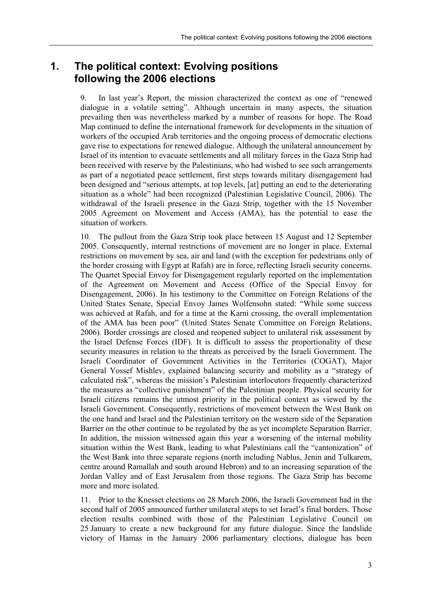### **1. The political context: Evolving positions following the 2006 elections**

9. In last year's Report, the mission characterized the context as one of "renewed" dialogue in a volatile settingî. Although uncertain in many aspects, the situation prevailing then was nevertheless marked by a number of reasons for hope. The Road Map continued to define the international framework for developments in the situation of workers of the occupied Arab territories and the ongoing process of democratic elections gave rise to expectations for renewed dialogue. Although the unilateral announcement by Israel of its intention to evacuate settlements and all military forces in the Gaza Strip had been received with reserve by the Palestinians, who had wished to see such arrangements as part of a negotiated peace settlement, first steps towards military disengagement had been designed and "serious attempts, at top levels, [at] putting an end to the deteriorating situation as a whole" had been recognized (Palestinian Legislative Council, 2006). The withdrawal of the Israeli presence in the Gaza Strip, together with the 15 November 2005 Agreement on Movement and Access (AMA), has the potential to ease the situation of workers.

10. The pullout from the Gaza Strip took place between 15 August and 12 September 2005. Consequently, internal restrictions of movement are no longer in place. External restrictions on movement by sea, air and land (with the exception for pedestrians only of the border crossing with Egypt at Rafah) are in force, reflecting Israeli security concerns. The Quartet Special Envoy for Disengagement regularly reported on the implementation of the Agreement on Movement and Access (Office of the Special Envoy for Disengagement, 2006). In his testimony to the Committee on Foreign Relations of the United States Senate, Special Envoy James Wolfensohn stated: "While some success was achieved at Rafah, and for a time at the Karni crossing, the overall implementation of the AMA has been poor" (United States Senate Committee on Foreign Relations, 2006). Border crossings are closed and reopened subject to unilateral risk assessment by the Israel Defense Forces (IDF). It is difficult to assess the proportionality of these security measures in relation to the threats as perceived by the Israeli Government. The Israeli Coordinator of Government Activities in the Territories (COGAT), Major General Yossef Mishlev, explained balancing security and mobility as a "strategy of calculated risk", whereas the mission's Palestinian interlocutors frequently characterized the measures as "collective punishment" of the Palestinian people. Physical security for Israeli citizens remains the utmost priority in the political context as viewed by the Israeli Government. Consequently, restrictions of movement between the West Bank on the one hand and Israel and the Palestinian territory on the western side of the Separation Barrier on the other continue to be regulated by the as yet incomplete Separation Barrier. In addition, the mission witnessed again this year a worsening of the internal mobility situation within the West Bank, leading to what Palestinians call the "cantonization" of the West Bank into three separate regions (north including Nablus, Jenin and Tulkarem, centre around Ramallah and south around Hebron) and to an increasing separation of the Jordan Valley and of East Jerusalem from those regions. The Gaza Strip has become more and more isolated.

11. Prior to the Knesset elections on 28 March 2006, the Israeli Government had in the second half of 2005 announced further unilateral steps to set Israel's final borders. Those election results combined with those of the Palestinian Legislative Council on 25 January to create a new background for any future dialogue. Since the landslide victory of Hamas in the January 2006 parliamentary elections, dialogue has been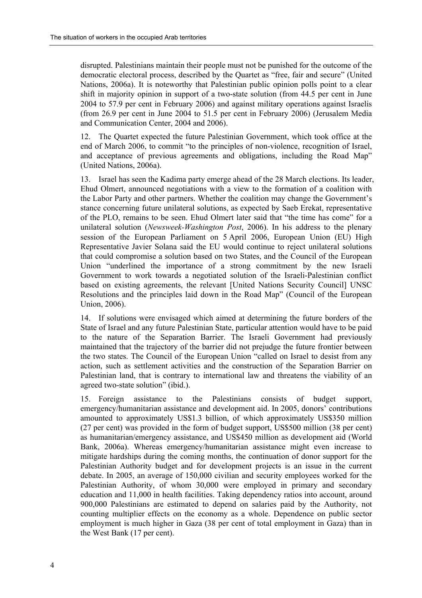disrupted. Palestinians maintain their people must not be punished for the outcome of the democratic electoral process, described by the Quartet as "free, fair and secure" (United Nations, 2006a). It is noteworthy that Palestinian public opinion polls point to a clear shift in majority opinion in support of a two-state solution (from 44.5 per cent in June 2004 to 57.9 per cent in February 2006) and against military operations against Israelis (from 26.9 per cent in June 2004 to 51.5 per cent in February 2006) (Jerusalem Media and Communication Center, 2004 and 2006).

12. The Quartet expected the future Palestinian Government, which took office at the end of March 2006, to commit "to the principles of non-violence, recognition of Israel, and acceptance of previous agreements and obligations, including the Road Map<sup>7</sup> (United Nations, 2006a).

13. Israel has seen the Kadima party emerge ahead of the 28 March elections. Its leader, Ehud Olmert, announced negotiations with a view to the formation of a coalition with the Labor Party and other partners. Whether the coalition may change the Government's stance concerning future unilateral solutions, as expected by Saeb Erekat, representative of the PLO, remains to be seen. Ehud Olmert later said that "the time has come" for a unilateral solution (*Newsweek-Washington Post*, 2006). In his address to the plenary session of the European Parliament on 5 April 2006, European Union (EU) High Representative Javier Solana said the EU would continue to reject unilateral solutions that could compromise a solution based on two States, and the Council of the European Union "underlined the importance of a strong commitment by the new Israeli Government to work towards a negotiated solution of the Israeli-Palestinian conflict based on existing agreements, the relevant [United Nations Security Council] UNSC Resolutions and the principles laid down in the Road Map" (Council of the European Union, 2006).

14. If solutions were envisaged which aimed at determining the future borders of the State of Israel and any future Palestinian State, particular attention would have to be paid to the nature of the Separation Barrier. The Israeli Government had previously maintained that the trajectory of the barrier did not prejudge the future frontier between the two states. The Council of the European Union "called on Israel to desist from any action, such as settlement activities and the construction of the Separation Barrier on Palestinian land, that is contrary to international law and threatens the viability of an agreed two-state solution" (ibid.).

15. Foreign assistance to the Palestinians consists of budget support, emergency/humanitarian assistance and development aid. In 2005, donors' contributions amounted to approximately US\$1.3 billion, of which approximately US\$350 million (27 per cent) was provided in the form of budget support, US\$500 million (38 per cent) as humanitarian/emergency assistance, and US\$450 million as development aid (World Bank, 2006a). Whereas emergency/humanitarian assistance might even increase to mitigate hardships during the coming months, the continuation of donor support for the Palestinian Authority budget and for development projects is an issue in the current debate. In 2005, an average of 150,000 civilian and security employees worked for the Palestinian Authority, of whom 30,000 were employed in primary and secondary education and 11,000 in health facilities. Taking dependency ratios into account, around 900,000 Palestinians are estimated to depend on salaries paid by the Authority, not counting multiplier effects on the economy as a whole. Dependence on public sector employment is much higher in Gaza (38 per cent of total employment in Gaza) than in the West Bank (17 per cent).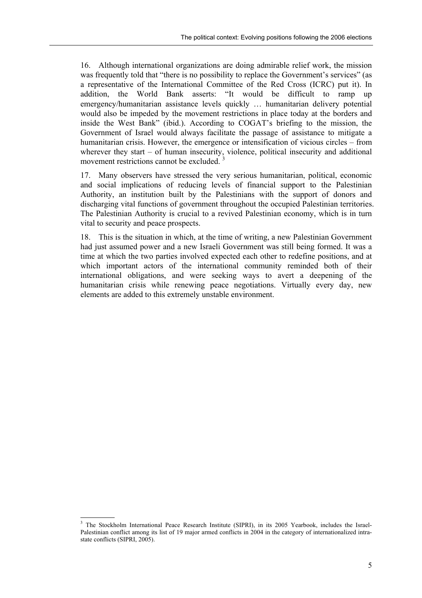16. Although international organizations are doing admirable relief work, the mission was frequently told that "there is no possibility to replace the Government's services" (as a representative of the International Committee of the Red Cross (ICRC) put it). In addition, the World Bank asserts: "It would be difficult to ramp up emergency/humanitarian assistance levels quickly ... humanitarian delivery potential would also be impeded by the movement restrictions in place today at the borders and inside the West Bank" (ibid.). According to COGAT's briefing to the mission, the Government of Israel would always facilitate the passage of assistance to mitigate a humanitarian crisis. However, the emergence or intensification of vicious circles – from wherever they start  $-$  of human insecurity, violence, political insecurity and additional movement restrictions cannot be excluded.<sup>3</sup>

17. Many observers have stressed the very serious humanitarian, political, economic and social implications of reducing levels of financial support to the Palestinian Authority, an institution built by the Palestinians with the support of donors and discharging vital functions of government throughout the occupied Palestinian territories. The Palestinian Authority is crucial to a revived Palestinian economy, which is in turn vital to security and peace prospects.

18. This is the situation in which, at the time of writing, a new Palestinian Government had just assumed power and a new Israeli Government was still being formed. It was a time at which the two parties involved expected each other to redefine positions, and at which important actors of the international community reminded both of their international obligations, and were seeking ways to avert a deepening of the humanitarian crisis while renewing peace negotiations. Virtually every day, new elements are added to this extremely unstable environment.

 $\overline{a}$ 

<sup>3</sup> The Stockholm International Peace Research Institute (SIPRI), in its 2005 Yearbook, includes the Israel-Palestinian conflict among its list of 19 major armed conflicts in 2004 in the category of internationalized intrastate conflicts (SIPRI, 2005).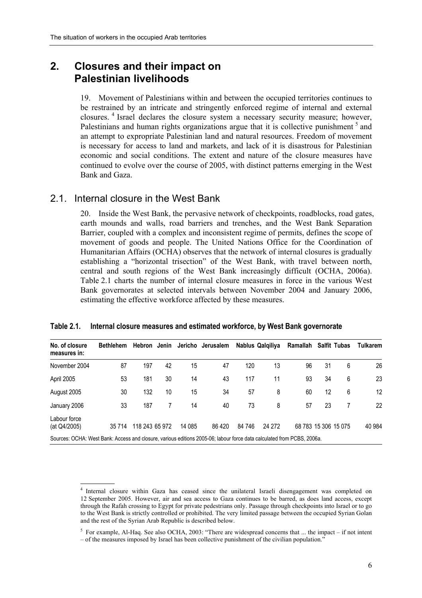### **2. Closures and their impact on Palestinian livelihoods**

19. Movement of Palestinians within and between the occupied territories continues to be restrained by an intricate and stringently enforced regime of internal and external closures. <sup>4</sup> Israel declares the closure system a necessary security measure; however, Palestinians and human rights organizations argue that it is collective punishment<sup>5</sup> and an attempt to expropriate Palestinian land and natural resources. Freedom of movement is necessary for access to land and markets, and lack of it is disastrous for Palestinian economic and social conditions. The extent and nature of the closure measures have continued to evolve over the course of 2005, with distinct patterns emerging in the West Bank and Gaza.

#### 2.1. Internal closure in the West Bank

Labour force

20. Inside the West Bank, the pervasive network of checkpoints, roadblocks, road gates, earth mounds and walls, road barriers and trenches, and the West Bank Separation Barrier, coupled with a complex and inconsistent regime of permits, defines the scope of movement of goods and people. The United Nations Office for the Coordination of Humanitarian Affairs (OCHA) observes that the network of internal closures is gradually establishing a "horizontal trisection" of the West Bank, with travel between north, central and south regions of the West Bank increasingly difficult (OCHA, 2006a). Table 2.1 charts the number of internal closure measures in force in the various West Bank governorates at selected intervals between November 2004 and January 2006, estimating the effective workforce affected by these measures.

| No. of closure<br>measures in: |    |     |    |    | Bethlehem Hebron Jenin Jericho Jerusalem Nablus Qalqiliya Ramallah Salfit Tubas |     |    |    |     |   | Tulkarem |
|--------------------------------|----|-----|----|----|---------------------------------------------------------------------------------|-----|----|----|-----|---|----------|
| November 2004                  | 87 | 197 | 42 | 15 | 47                                                                              | 120 | 13 | 96 | -31 | 6 | 26       |
| April 2005                     | 53 | 181 | 30 | 14 | 43                                                                              | 117 | 11 | 93 | 34  | 6 | 23       |

August 2005 30 132 10 15 34 57 8 60 12 6 12 January 2006 33 187 7 14 40 73 8 57 23 7 22

(at Q4/2005) 35 714 118 243 65 972 14 085 86 420 84 746 24 272 68 783 15 306 15 075 40 984

#### **Table 2.1. Internal closure measures and estimated workforce, by West Bank governorate**

Sources: OCHA: West Bank: Access and closure, various editions 2005-06; labour force data calculated from PCBS, 2006a.

<sup>4</sup> Internal closure within Gaza has ceased since the unilateral Israeli disengagement was completed on 12 September 2005. However, air and sea access to Gaza continues to be barred, as does land access, except through the Rafah crossing to Egypt for private pedestrians only. Passage through checkpoints into Israel or to go to the West Bank is strictly controlled or prohibited. The very limited passage between the occupied Syrian Golan and the rest of the Syrian Arab Republic is described below.

<sup>&</sup>lt;sup>5</sup> For example, Al-Haq. See also OCHA, 2003: "There are widespread concerns that ... the impact – if not intent – of the measures imposed by Israel has been collective punishment of the civilian population.<sup>7</sup>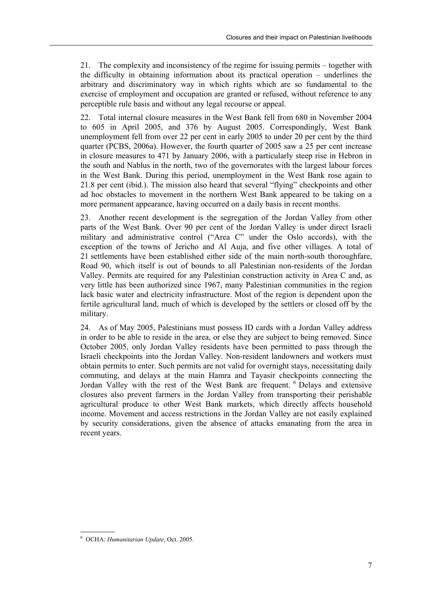21. The complexity and inconsistency of the regime for issuing permits – together with the difficulty in obtaining information about its practical operation  $-$  underlines the arbitrary and discriminatory way in which rights which are so fundamental to the exercise of employment and occupation are granted or refused, without reference to any perceptible rule basis and without any legal recourse or appeal.

22. Total internal closure measures in the West Bank fell from 680 in November 2004 to 605 in April 2005, and 376 by August 2005. Correspondingly, West Bank unemployment fell from over 22 per cent in early 2005 to under 20 per cent by the third quarter (PCBS, 2006a). However, the fourth quarter of 2005 saw a 25 per cent increase in closure measures to 471 by January 2006, with a particularly steep rise in Hebron in the south and Nablus in the north, two of the governorates with the largest labour forces in the West Bank. During this period, unemployment in the West Bank rose again to 21.8 per cent (ibid.). The mission also heard that several "flying" checkpoints and other ad hoc obstacles to movement in the northern West Bank appeared to be taking on a more permanent appearance, having occurred on a daily basis in recent months.

23. Another recent development is the segregation of the Jordan Valley from other parts of the West Bank. Over 90 per cent of the Jordan Valley is under direct Israeli military and administrative control ("Area C" under the Oslo accords), with the exception of the towns of Jericho and Al Auja, and five other villages. A total of 21 settlements have been established either side of the main north-south thoroughfare, Road 90, which itself is out of bounds to all Palestinian non-residents of the Jordan Valley. Permits are required for any Palestinian construction activity in Area C and, as very little has been authorized since 1967, many Palestinian communities in the region lack basic water and electricity infrastructure. Most of the region is dependent upon the fertile agricultural land, much of which is developed by the settlers or closed off by the military.

24. As of May 2005, Palestinians must possess ID cards with a Jordan Valley address in order to be able to reside in the area, or else they are subject to being removed. Since October 2005, only Jordan Valley residents have been permitted to pass through the Israeli checkpoints into the Jordan Valley. Non-resident landowners and workers must obtain permits to enter. Such permits are not valid for overnight stays, necessitating daily commuting, and delays at the main Hamra and Tayasir checkpoints connecting the Jordan Valley with the rest of the West Bank are frequent. <sup>6</sup> Delays and extensive closures also prevent farmers in the Jordan Valley from transporting their perishable agricultural produce to other West Bank markets, which directly affects household income. Movement and access restrictions in the Jordan Valley are not easily explained by security considerations, given the absence of attacks emanating from the area in recent years.

 6 OCHA: *Humanitarian Update*, Oct. 2005.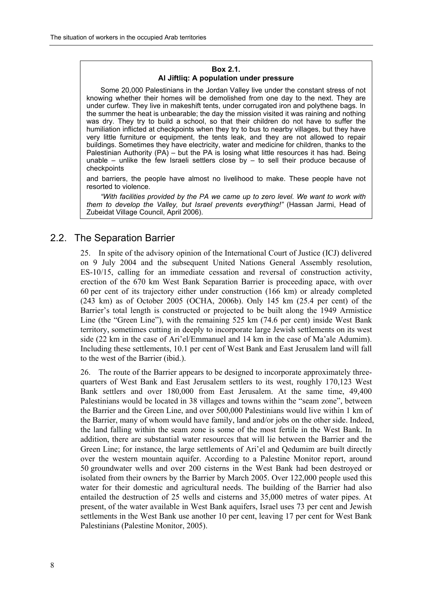#### **Box 2.1. Al Jiftliq: A population under pressure**

Some 20,000 Palestinians in the Jordan Valley live under the constant stress of not knowing whether their homes will be demolished from one day to the next. They are under curfew. They live in makeshift tents, under corrugated iron and polythene bags. In the summer the heat is unbearable; the day the mission visited it was raining and nothing was dry. They try to build a school, so that their children do not have to suffer the humiliation inflicted at checkpoints when they try to bus to nearby villages, but they have very little furniture or equipment, the tents leak, and they are not allowed to repair buildings. Sometimes they have electricity, water and medicine for children, thanks to the Palestinian Authority (PA) – but the PA is losing what little resources it has had. Being unable  $-$  unlike the few Israeli settlers close by  $-$  to sell their produce because of checkpoints

and barriers, the people have almost no livelihood to make. These people have not resorted to violence.

*ìWith facilities provided by the PA we came up to zero level. We want to work with them to develop the Valley, but Israel prevents everything!î* (Hassan Jarmi, Head of Zubeidat Village Council, April 2006).

### 2.2. The Separation Barrier

25. In spite of the advisory opinion of the International Court of Justice (ICJ) delivered on 9 July 2004 and the subsequent United Nations General Assembly resolution, ES-10/15, calling for an immediate cessation and reversal of construction activity, erection of the 670 km West Bank Separation Barrier is proceeding apace, with over 60 per cent of its trajectory either under construction (166 km) or already completed (243 km) as of October 2005 (OCHA, 2006b). Only 145 km (25.4 per cent) of the Barrier's total length is constructed or projected to be built along the 1949 Armistice Line (the "Green Line"), with the remaining  $525 \text{ km}$  (74.6 per cent) inside West Bank territory, sometimes cutting in deeply to incorporate large Jewish settlements on its west side (22 km in the case of Ari'el/Emmanuel and 14 km in the case of Ma'ale Adumim). Including these settlements, 10.1 per cent of West Bank and East Jerusalem land will fall to the west of the Barrier (ibid.).

26. The route of the Barrier appears to be designed to incorporate approximately threequarters of West Bank and East Jerusalem settlers to its west, roughly 170,123 West Bank settlers and over 180,000 from East Jerusalem. At the same time, 49,400 Palestinians would be located in 38 villages and towns within the "seam zone", between the Barrier and the Green Line, and over 500,000 Palestinians would live within 1 km of the Barrier, many of whom would have family, land and/or jobs on the other side. Indeed, the land falling within the seam zone is some of the most fertile in the West Bank. In addition, there are substantial water resources that will lie between the Barrier and the Green Line: for instance, the large settlements of Ari'el and Oedumim are built directly over the western mountain aquifer. According to a Palestine Monitor report, around 50 groundwater wells and over 200 cisterns in the West Bank had been destroyed or isolated from their owners by the Barrier by March 2005. Over 122,000 people used this water for their domestic and agricultural needs. The building of the Barrier had also entailed the destruction of 25 wells and cisterns and 35,000 metres of water pipes. At present, of the water available in West Bank aquifers, Israel uses 73 per cent and Jewish settlements in the West Bank use another 10 per cent, leaving 17 per cent for West Bank Palestinians (Palestine Monitor, 2005).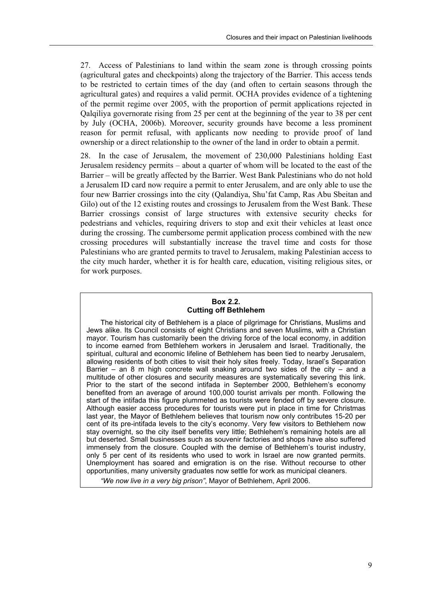27. Access of Palestinians to land within the seam zone is through crossing points (agricultural gates and checkpoints) along the trajectory of the Barrier. This access tends to be restricted to certain times of the day (and often to certain seasons through the agricultural gates) and requires a valid permit. OCHA provides evidence of a tightening of the permit regime over 2005, with the proportion of permit applications rejected in Qalqiliya governorate rising from 25 per cent at the beginning of the year to 38 per cent by July (OCHA, 2006b). Moreover, security grounds have become a less prominent reason for permit refusal, with applicants now needing to provide proof of land ownership or a direct relationship to the owner of the land in order to obtain a permit.

28. In the case of Jerusalem, the movement of 230,000 Palestinians holding East Jerusalem residency permits – about a quarter of whom will be located to the east of the Barrier – will be greatly affected by the Barrier. West Bank Palestinians who do not hold a Jerusalem ID card now require a permit to enter Jerusalem, and are only able to use the four new Barrier crossings into the city (Qalandiya, Shu'fat Camp, Ras Abu Sbeitan and Gilo) out of the 12 existing routes and crossings to Jerusalem from the West Bank. These Barrier crossings consist of large structures with extensive security checks for pedestrians and vehicles, requiring drivers to stop and exit their vehicles at least once during the crossing. The cumbersome permit application process combined with the new crossing procedures will substantially increase the travel time and costs for those Palestinians who are granted permits to travel to Jerusalem, making Palestinian access to the city much harder, whether it is for health care, education, visiting religious sites, or for work purposes.

#### **Box 2.2. Cutting off Bethlehem**

The historical city of Bethlehem is a place of pilgrimage for Christians, Muslims and Jews alike. Its Council consists of eight Christians and seven Muslims, with a Christian mayor. Tourism has customarily been the driving force of the local economy, in addition to income earned from Bethlehem workers in Jerusalem and Israel. Traditionally, the spiritual, cultural and economic lifeline of Bethlehem has been tied to nearby Jerusalem, allowing residents of both cities to visit their holy sites freely. Today, Israelís Separation Barrier  $-$  an 8 m high concrete wall snaking around two sides of the city  $-$  and a multitude of other closures and security measures are systematically severing this link. Prior to the start of the second intifada in September 2000, Bethlehemís economy benefited from an average of around 100,000 tourist arrivals per month. Following the start of the intifada this figure plummeted as tourists were fended off by severe closure. Although easier access procedures for tourists were put in place in time for Christmas last year, the Mayor of Bethlehem believes that tourism now only contributes 15-20 per cent of its pre-intifada levels to the cityís economy. Very few visitors to Bethlehem now stay overnight, so the city itself benefits very little; Bethlehemís remaining hotels are all but deserted. Small businesses such as souvenir factories and shops have also suffered immensely from the closure. Coupled with the demise of Bethlehemís tourist industry, only 5 per cent of its residents who used to work in Israel are now granted permits. Unemployment has soared and emigration is on the rise. Without recourse to other opportunities, many university graduates now settle for work as municipal cleaners.

*ìWe now live in a very big prisonî*, Mayor of Bethlehem, April 2006.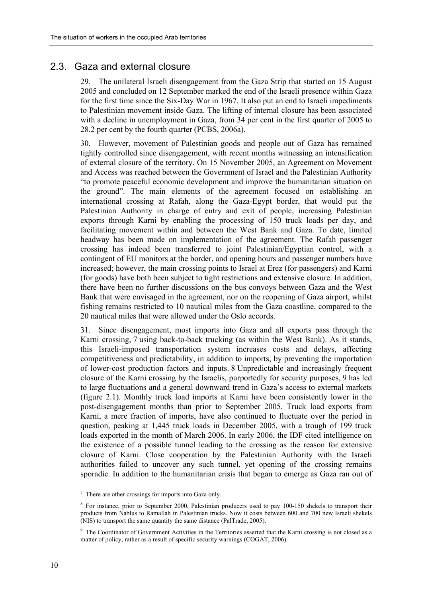#### 2.3. Gaza and external closure

29. The unilateral Israeli disengagement from the Gaza Strip that started on 15 August 2005 and concluded on 12 September marked the end of the Israeli presence within Gaza for the first time since the Six-Day War in 1967. It also put an end to Israeli impediments to Palestinian movement inside Gaza. The lifting of internal closure has been associated with a decline in unemployment in Gaza, from 34 per cent in the first quarter of 2005 to 28.2 per cent by the fourth quarter (PCBS, 2006a).

30. However, movement of Palestinian goods and people out of Gaza has remained tightly controlled since disengagement, with recent months witnessing an intensification of external closure of the territory. On 15 November 2005, an Agreement on Movement and Access was reached between the Government of Israel and the Palestinian Authority ìto promote peaceful economic development and improve the humanitarian situation on the ground". The main elements of the agreement focused on establishing an international crossing at Rafah, along the Gaza-Egypt border, that would put the Palestinian Authority in charge of entry and exit of people, increasing Palestinian exports through Karni by enabling the processing of 150 truck loads per day, and facilitating movement within and between the West Bank and Gaza. To date, limited headway has been made on implementation of the agreement. The Rafah passenger crossing has indeed been transferred to joint Palestinian/Egyptian control, with a contingent of EU monitors at the border, and opening hours and passenger numbers have increased; however, the main crossing points to Israel at Erez (for passengers) and Karni (for goods) have both been subject to tight restrictions and extensive closure. In addition, there have been no further discussions on the bus convoys between Gaza and the West Bank that were envisaged in the agreement, nor on the reopening of Gaza airport, whilst fishing remains restricted to 10 nautical miles from the Gaza coastline, compared to the 20 nautical miles that were allowed under the Oslo accords.

31. Since disengagement, most imports into Gaza and all exports pass through the Karni crossing, 7 using back-to-back trucking (as within the West Bank). As it stands, this Israeli-imposed transportation system increases costs and delays, affecting competitiveness and predictability, in addition to imports, by preventing the importation of lower-cost production factors and inputs. 8 Unpredictable and increasingly frequent closure of the Karni crossing by the Israelis, purportedly for security purposes, 9 has led to large fluctuations and a general downward trend in Gaza's access to external markets (figure 2.1). Monthly truck load imports at Karni have been consistently lower in the post-disengagement months than prior to September 2005. Truck load exports from Karni, a mere fraction of imports, have also continued to fluctuate over the period in question, peaking at 1,445 truck loads in December 2005, with a trough of 199 truck loads exported in the month of March 2006. In early 2006, the IDF cited intelligence on the existence of a possible tunnel leading to the crossing as the reason for extensive closure of Karni. Close cooperation by the Palestinian Authority with the Israeli authorities failed to uncover any such tunnel, yet opening of the crossing remains sporadic. In addition to the humanitarian crisis that began to emerge as Gaza ran out of

<sup>&</sup>lt;sup>7</sup> There are other crossings for imports into Gaza only.

<sup>&</sup>lt;sup>8</sup> For instance, prior to September 2000, Palestinian producers used to pay 100-150 shekels to transport their products from Nablus to Ramallah in Palestinian trucks. Now it costs between 600 and 700 new Israeli shekels (NIS) to transport the same quantity the same distance (PalTrade, 2005).

<sup>&</sup>lt;sup>9</sup> The Coordinator of Government Activities in the Territories asserted that the Karni crossing is not closed as a matter of policy, rather as a result of specific security warnings (COGAT, 2006).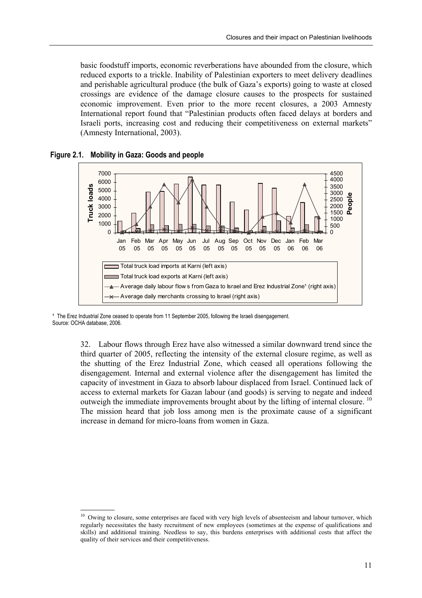basic foodstuff imports, economic reverberations have abounded from the closure, which reduced exports to a trickle. Inability of Palestinian exporters to meet delivery deadlines and perishable agricultural produce (the bulk of Gaza's exports) going to waste at closed crossings are evidence of the damage closure causes to the prospects for sustained economic improvement. Even prior to the more recent closures, a 2003 Amnesty International report found that "Palestinian products often faced delays at borders and Israeli ports, increasing cost and reducing their competitiveness on external markets<sup>"</sup> (Amnesty International, 2003).

**Figure 2.1. Mobility in Gaza: Goods and people** 



<sup>1</sup> The Erez Industrial Zone ceased to operate from 11 September 2005, following the Israeli disengagement. Source: OCHA database, 2006.

> 32. Labour flows through Erez have also witnessed a similar downward trend since the third quarter of 2005, reflecting the intensity of the external closure regime, as well as the shutting of the Erez Industrial Zone, which ceased all operations following the disengagement. Internal and external violence after the disengagement has limited the capacity of investment in Gaza to absorb labour displaced from Israel. Continued lack of access to external markets for Gazan labour (and goods) is serving to negate and indeed outweigh the immediate improvements brought about by the lifting of internal closure.<sup>10</sup> The mission heard that job loss among men is the proximate cause of a significant increase in demand for micro-loans from women in Gaza.

 $10$  Owing to closure, some enterprises are faced with very high levels of absenteeism and labour turnover, which regularly necessitates the hasty recruitment of new employees (sometimes at the expense of qualifications and skills) and additional training. Needless to say, this burdens enterprises with additional costs that affect the quality of their services and their competitiveness.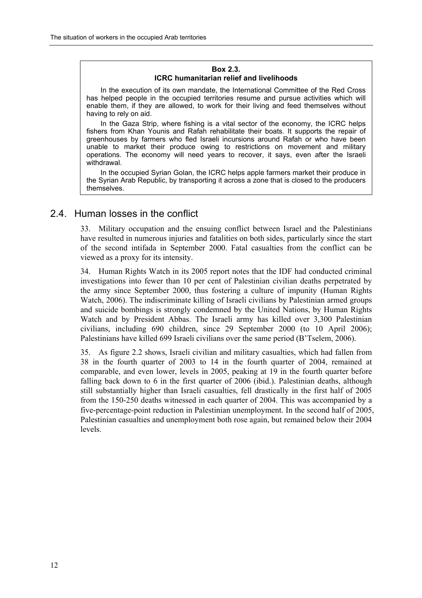#### **Box 2.3. ICRC humanitarian relief and livelihoods**

In the execution of its own mandate, the International Committee of the Red Cross has helped people in the occupied territories resume and pursue activities which will enable them, if they are allowed, to work for their living and feed themselves without having to rely on aid.

In the Gaza Strip, where fishing is a vital sector of the economy, the ICRC helps fishers from Khan Younis and Rafah rehabilitate their boats. It supports the repair of greenhouses by farmers who fled Israeli incursions around Rafah or who have been unable to market their produce owing to restrictions on movement and military operations. The economy will need years to recover, it says, even after the Israeli withdrawal.

In the occupied Syrian Golan, the ICRC helps apple farmers market their produce in the Syrian Arab Republic, by transporting it across a zone that is closed to the producers themselves.

### 2.4. Human losses in the conflict

33. Military occupation and the ensuing conflict between Israel and the Palestinians have resulted in numerous injuries and fatalities on both sides, particularly since the start of the second intifada in September 2000. Fatal casualties from the conflict can be viewed as a proxy for its intensity.

34. Human Rights Watch in its 2005 report notes that the IDF had conducted criminal investigations into fewer than 10 per cent of Palestinian civilian deaths perpetrated by the army since September 2000, thus fostering a culture of impunity (Human Rights Watch, 2006). The indiscriminate killing of Israeli civilians by Palestinian armed groups and suicide bombings is strongly condemned by the United Nations, by Human Rights Watch and by President Abbas. The Israeli army has killed over 3,300 Palestinian civilians, including 690 children, since 29 September 2000 (to 10 April 2006); Palestinians have killed 699 Israeli civilians over the same period (B'Tselem, 2006).

35. As figure 2.2 shows, Israeli civilian and military casualties, which had fallen from 38 in the fourth quarter of 2003 to 14 in the fourth quarter of 2004, remained at comparable, and even lower, levels in 2005, peaking at 19 in the fourth quarter before falling back down to 6 in the first quarter of 2006 (ibid.). Palestinian deaths, although still substantially higher than Israeli casualties, fell drastically in the first half of 2005 from the 150-250 deaths witnessed in each quarter of 2004. This was accompanied by a five-percentage-point reduction in Palestinian unemployment. In the second half of 2005, Palestinian casualties and unemployment both rose again, but remained below their 2004 levels.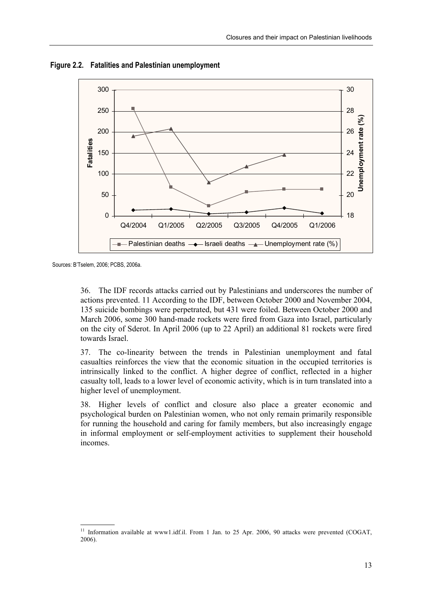

**Figure 2.2. Fatalities and Palestinian unemployment** 

Sources: BíTselem, 2006; PCBS, 2006a.

36. The IDF records attacks carried out by Palestinians and underscores the number of actions prevented. 11 According to the IDF, between October 2000 and November 2004, 135 suicide bombings were perpetrated, but 431 were foiled. Between October 2000 and March 2006, some 300 hand-made rockets were fired from Gaza into Israel, particularly on the city of Sderot. In April 2006 (up to 22 April) an additional 81 rockets were fired towards Israel.

37. The co-linearity between the trends in Palestinian unemployment and fatal casualties reinforces the view that the economic situation in the occupied territories is intrinsically linked to the conflict. A higher degree of conflict, reflected in a higher casualty toll, leads to a lower level of economic activity, which is in turn translated into a higher level of unemployment.

38. Higher levels of conflict and closure also place a greater economic and psychological burden on Palestinian women, who not only remain primarily responsible for running the household and caring for family members, but also increasingly engage in informal employment or self-employment activities to supplement their household incomes.

 $11$ 11 Information available at www1.idf.il. From 1 Jan. to 25 Apr. 2006, 90 attacks were prevented (COGAT, 2006).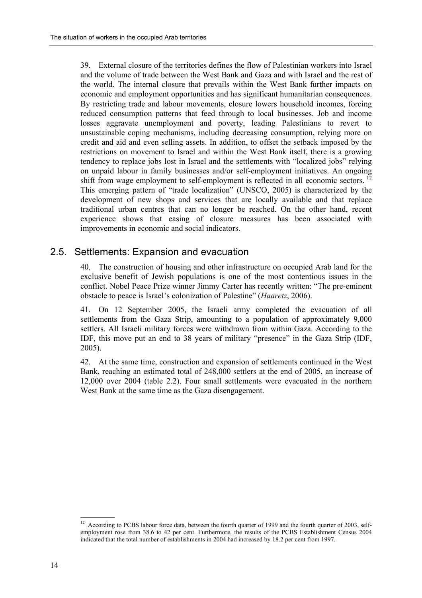39. External closure of the territories defines the flow of Palestinian workers into Israel and the volume of trade between the West Bank and Gaza and with Israel and the rest of the world. The internal closure that prevails within the West Bank further impacts on economic and employment opportunities and has significant humanitarian consequences. By restricting trade and labour movements, closure lowers household incomes, forcing reduced consumption patterns that feed through to local businesses. Job and income losses aggravate unemployment and poverty, leading Palestinians to revert to unsustainable coping mechanisms, including decreasing consumption, relying more on credit and aid and even selling assets. In addition, to offset the setback imposed by the restrictions on movement to Israel and within the West Bank itself, there is a growing tendency to replace jobs lost in Israel and the settlements with "localized jobs" relying on unpaid labour in family businesses and/or self-employment initiatives. An ongoing shift from wage employment to self-employment is reflected in all economic sectors.<sup>12</sup> This emerging pattern of "trade localization" (UNSCO, 2005) is characterized by the development of new shops and services that are locally available and that replace traditional urban centres that can no longer be reached. On the other hand, recent experience shows that easing of closure measures has been associated with improvements in economic and social indicators.

### 2.5. Settlements: Expansion and evacuation

40. The construction of housing and other infrastructure on occupied Arab land for the exclusive benefit of Jewish populations is one of the most contentious issues in the conflict. Nobel Peace Prize winner Jimmy Carter has recently written: "The pre-eminent obstacle to peace is Israel's colonization of Palestine" (*Haaretz*, 2006).

41. On 12 September 2005, the Israeli army completed the evacuation of all settlements from the Gaza Strip, amounting to a population of approximately 9,000 settlers. All Israeli military forces were withdrawn from within Gaza. According to the IDF, this move put an end to 38 years of military "presence" in the Gaza Strip (IDF, 2005).

42. At the same time, construction and expansion of settlements continued in the West Bank, reaching an estimated total of 248,000 settlers at the end of 2005, an increase of 12,000 over 2004 (table 2.2). Four small settlements were evacuated in the northern West Bank at the same time as the Gaza disengagement.

 $12 \,$ 12 According to PCBS labour force data, between the fourth quarter of 1999 and the fourth quarter of 2003, selfemployment rose from 38.6 to 42 per cent. Furthermore, the results of the PCBS Establishment Census 2004 indicated that the total number of establishments in 2004 had increased by 18.2 per cent from 1997.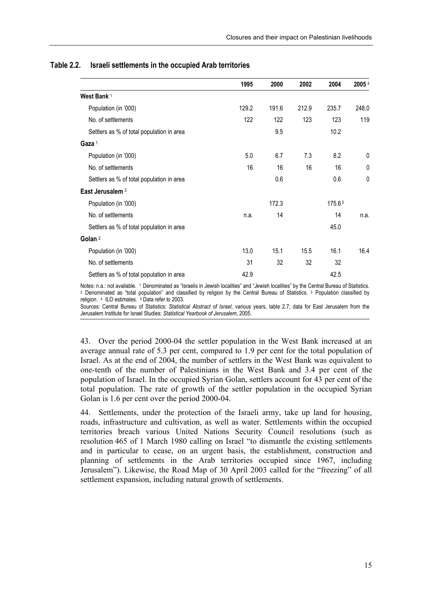|                                           | 1995  | 2000  | 2002  | 2004   | 20054 |
|-------------------------------------------|-------|-------|-------|--------|-------|
| West Bank <sup>1</sup>                    |       |       |       |        |       |
| Population (in '000)                      | 129.2 | 191.6 | 212.9 | 235.7  | 248.0 |
| No. of settlements                        | 122   | 122   | 123   | 123    | 119   |
| Settlers as % of total population in area |       | 9.5   |       | 10.2   |       |
| Gaza <sup>1</sup>                         |       |       |       |        |       |
| Population (in '000)                      | 5.0   | 6.7   | 7.3   | 8.2    | 0     |
| No. of settlements                        | 16    | 16    | 16    | 16     | 0     |
| Settlers as % of total population in area |       | 0.6   |       | 0.6    | 0     |
| East Jerusalem <sup>3</sup>               |       |       |       |        |       |
| Population (in '000)                      |       | 172.3 |       | 175.65 |       |
| No. of settlements                        | n.a.  | 14    |       | 14     | n.a.  |
| Settlers as % of total population in area |       |       |       | 45.0   |       |
| Golan <sup>2</sup>                        |       |       |       |        |       |
| Population (in '000)                      | 13.0  | 15.1  | 15.5  | 16.1   | 16.4  |
| No. of settlements                        | 31    | 32    | 32    | 32     |       |
| Settlers as % of total population in area | 42.9  |       |       | 42.5   |       |

#### **Table 2.2. Israeli settlements in the occupied Arab territories**

Notes: n.a.: not available. 1 Denominated as "Israelis in Jewish localities" and "Jewish localities" by the Central Bureau of Statistics. <sup>2</sup> Denominated as "total population" and classified by religion by the Central Bureau of Statistics. <sup>3</sup> Population classified by religion. 4 ILO estimates. 5 Data refer to 2003.

Sources: Central Bureau of Statistics: *Statistical Abstract of Israel*, various years, table 2.7; data for East Jerusalem from the Jerusalem Institute for Israel Studies: *Statistical Yearbook of Jerusalem*, 2005.

43. Over the period 2000-04 the settler population in the West Bank increased at an average annual rate of 5.3 per cent, compared to 1.9 per cent for the total population of Israel. As at the end of 2004, the number of settlers in the West Bank was equivalent to one-tenth of the number of Palestinians in the West Bank and 3.4 per cent of the population of Israel. In the occupied Syrian Golan, settlers account for 43 per cent of the total population. The rate of growth of the settler population in the occupied Syrian Golan is 1.6 per cent over the period 2000-04.

44. Settlements, under the protection of the Israeli army, take up land for housing, roads, infrastructure and cultivation, as well as water. Settlements within the occupied territories breach various United Nations Security Council resolutions (such as resolution 465 of 1 March 1980 calling on Israel "to dismantle the existing settlements and in particular to cease, on an urgent basis, the establishment, construction and planning of settlements in the Arab territories occupied since 1967, including Jerusalem<sup>"</sup>). Likewise, the Road Map of 30 April 2003 called for the "freezing" of all settlement expansion, including natural growth of settlements.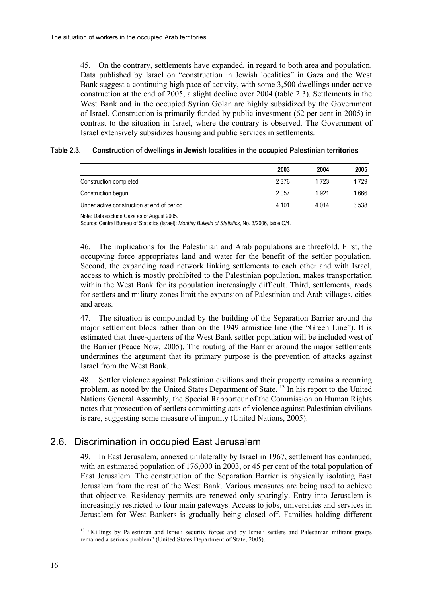45. On the contrary, settlements have expanded, in regard to both area and population. Data published by Israel on "construction in Jewish localities" in Gaza and the West Bank suggest a continuing high pace of activity, with some 3,500 dwellings under active construction at the end of 2005, a slight decline over 2004 (table 2.3). Settlements in the West Bank and in the occupied Syrian Golan are highly subsidized by the Government of Israel. Construction is primarily funded by public investment (62 per cent in 2005) in contrast to the situation in Israel, where the contrary is observed. The Government of Israel extensively subsidizes housing and public services in settlements.

#### **Table 2.3. Construction of dwellings in Jewish localities in the occupied Palestinian territories**

|                                                                                                                                                     | 2003    | 2004    | 2005  |
|-----------------------------------------------------------------------------------------------------------------------------------------------------|---------|---------|-------|
| Construction completed                                                                                                                              | 2 3 7 6 | 1723    | 1729  |
| Construction begun                                                                                                                                  | 2057    | 1921    | 1 666 |
| Under active construction at end of period                                                                                                          | 4 101   | 4 0 1 4 | 3538  |
| Note: Data exclude Gaza as of August 2005.<br>Source: Central Bureau of Statistics (Israel): Monthly Bulletin of Statistics, No. 3/2006, table O/4. |         |         |       |

46. The implications for the Palestinian and Arab populations are threefold. First, the occupying force appropriates land and water for the benefit of the settler population. Second, the expanding road network linking settlements to each other and with Israel, access to which is mostly prohibited to the Palestinian population, makes transportation within the West Bank for its population increasingly difficult. Third, settlements, roads for settlers and military zones limit the expansion of Palestinian and Arab villages, cities and areas.

47. The situation is compounded by the building of the Separation Barrier around the major settlement blocs rather than on the 1949 armistice line (the "Green Line"). It is estimated that three-quarters of the West Bank settler population will be included west of the Barrier (Peace Now, 2005). The routing of the Barrier around the major settlements undermines the argument that its primary purpose is the prevention of attacks against Israel from the West Bank.

48. Settler violence against Palestinian civilians and their property remains a recurring problem, as noted by the United States Department of State.  $^{13}$  In his report to the United Nations General Assembly, the Special Rapporteur of the Commission on Human Rights notes that prosecution of settlers committing acts of violence against Palestinian civilians is rare, suggesting some measure of impunity (United Nations, 2005).

### 2.6. Discrimination in occupied East Jerusalem

49. In East Jerusalem, annexed unilaterally by Israel in 1967, settlement has continued, with an estimated population of 176,000 in 2003, or 45 per cent of the total population of East Jerusalem. The construction of the Separation Barrier is physically isolating East Jerusalem from the rest of the West Bank. Various measures are being used to achieve that objective. Residency permits are renewed only sparingly. Entry into Jerusalem is increasingly restricted to four main gateways. Access to jobs, universities and services in Jerusalem for West Bankers is gradually being closed off. Families holding different

<sup>&</sup>lt;sup>13</sup> "Killings by Palestinian and Israeli security forces and by Israeli settlers and Palestinian militant groups remained a serious problem" (United States Department of State, 2005).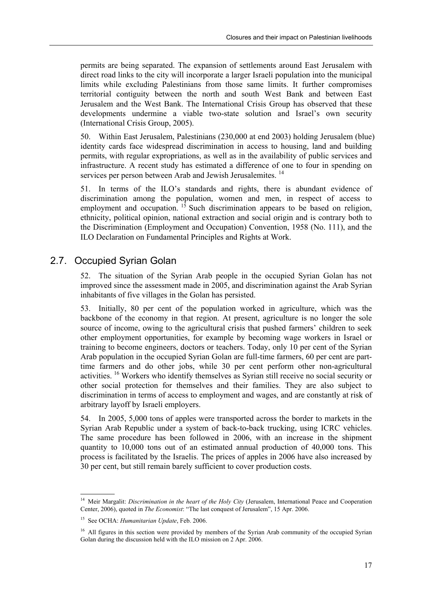permits are being separated. The expansion of settlements around East Jerusalem with direct road links to the city will incorporate a larger Israeli population into the municipal limits while excluding Palestinians from those same limits. It further compromises territorial contiguity between the north and south West Bank and between East Jerusalem and the West Bank. The International Crisis Group has observed that these developments undermine a viable two-state solution and Israel's own security (International Crisis Group, 2005).

50. Within East Jerusalem, Palestinians (230,000 at end 2003) holding Jerusalem (blue) identity cards face widespread discrimination in access to housing, land and building permits, with regular expropriations, as well as in the availability of public services and infrastructure. A recent study has estimated a difference of one to four in spending on services per person between Arab and Jewish Jerusalemites.<sup>14</sup>

51. In terms of the ILO's standards and rights, there is abundant evidence of discrimination among the population, women and men, in respect of access to employment and occupation. <sup>15</sup> Such discrimination appears to be based on religion, ethnicity, political opinion, national extraction and social origin and is contrary both to the Discrimination (Employment and Occupation) Convention, 1958 (No. 111), and the ILO Declaration on Fundamental Principles and Rights at Work.

### 2.7. Occupied Syrian Golan

52. The situation of the Syrian Arab people in the occupied Syrian Golan has not improved since the assessment made in 2005, and discrimination against the Arab Syrian inhabitants of five villages in the Golan has persisted.

53. Initially, 80 per cent of the population worked in agriculture, which was the backbone of the economy in that region. At present, agriculture is no longer the sole source of income, owing to the agricultural crisis that pushed farmers' children to seek other employment opportunities, for example by becoming wage workers in Israel or training to become engineers, doctors or teachers. Today, only 10 per cent of the Syrian Arab population in the occupied Syrian Golan are full-time farmers, 60 per cent are parttime farmers and do other jobs, while 30 per cent perform other non-agricultural activities. 16 Workers who identify themselves as Syrian still receive no social security or other social protection for themselves and their families. They are also subject to discrimination in terms of access to employment and wages, and are constantly at risk of arbitrary layoff by Israeli employers.

54. In 2005, 5,000 tons of apples were transported across the border to markets in the Syrian Arab Republic under a system of back-to-back trucking, using ICRC vehicles. The same procedure has been followed in 2006, with an increase in the shipment quantity to 10,000 tons out of an estimated annual production of 40,000 tons. This process is facilitated by the Israelis. The prices of apples in 2006 have also increased by 30 per cent, but still remain barely sufficient to cover production costs.

 <sup>14</sup> Meir Margalit: *Discrimination in the heart of the Holy City* (Jerusalem, International Peace and Cooperation Center, 2006), quoted in *The Economist*: "The last conquest of Jerusalem", 15 Apr. 2006.

<sup>15</sup> See OCHA: *Humanitarian Update*, Feb. 2006.

<sup>&</sup>lt;sup>16</sup> All figures in this section were provided by members of the Syrian Arab community of the occupied Syrian Golan during the discussion held with the ILO mission on 2 Apr. 2006.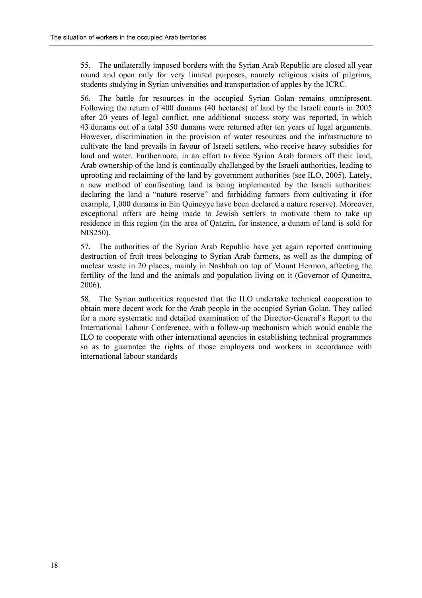55. The unilaterally imposed borders with the Syrian Arab Republic are closed all year round and open only for very limited purposes, namely religious visits of pilgrims, students studying in Syrian universities and transportation of apples by the ICRC.

56. The battle for resources in the occupied Syrian Golan remains omnipresent. Following the return of 400 dunams (40 hectares) of land by the Israeli courts in 2005 after 20 years of legal conflict, one additional success story was reported, in which 43 dunams out of a total 350 dunams were returned after ten years of legal arguments. However, discrimination in the provision of water resources and the infrastructure to cultivate the land prevails in favour of Israeli settlers, who receive heavy subsidies for land and water. Furthermore, in an effort to force Syrian Arab farmers off their land, Arab ownership of the land is continually challenged by the Israeli authorities, leading to uprooting and reclaiming of the land by government authorities (see ILO, 2005). Lately, a new method of confiscating land is being implemented by the Israeli authorities: declaring the land a "nature reserve" and forbidding farmers from cultivating it (for example, 1,000 dunams in Ein Quineyye have been declared a nature reserve). Moreover, exceptional offers are being made to Jewish settlers to motivate them to take up residence in this region (in the area of Qatzrin, for instance, a dunam of land is sold for NIS250).

57. The authorities of the Syrian Arab Republic have yet again reported continuing destruction of fruit trees belonging to Syrian Arab farmers, as well as the dumping of nuclear waste in 20 places, mainly in Nashbah on top of Mount Hermon, affecting the fertility of the land and the animals and population living on it (Governor of Quneitra, 2006).

58. The Syrian authorities requested that the ILO undertake technical cooperation to obtain more decent work for the Arab people in the occupied Syrian Golan. They called for a more systematic and detailed examination of the Director-General's Report to the International Labour Conference, with a follow-up mechanism which would enable the ILO to cooperate with other international agencies in establishing technical programmes so as to guarantee the rights of those employers and workers in accordance with international labour standards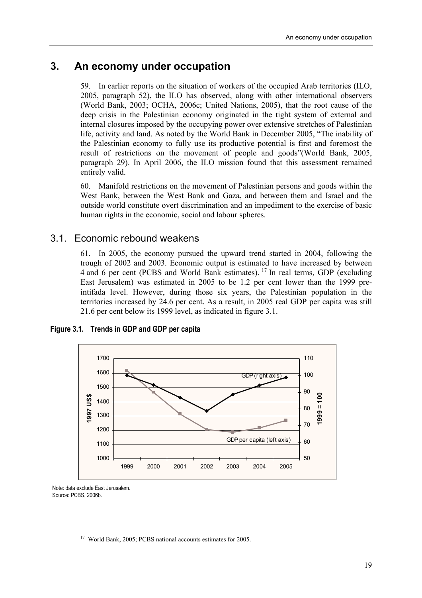### **3. An economy under occupation**

59. In earlier reports on the situation of workers of the occupied Arab territories (ILO, 2005, paragraph 52), the ILO has observed, along with other international observers (World Bank, 2003; OCHA, 2006c; United Nations, 2005), that the root cause of the deep crisis in the Palestinian economy originated in the tight system of external and internal closures imposed by the occupying power over extensive stretches of Palestinian life, activity and land. As noted by the World Bank in December 2005, "The inability of the Palestinian economy to fully use its productive potential is first and foremost the result of restrictions on the movement of people and goods" (World Bank, 2005, paragraph 29). In April 2006, the ILO mission found that this assessment remained entirely valid.

60. Manifold restrictions on the movement of Palestinian persons and goods within the West Bank, between the West Bank and Gaza, and between them and Israel and the outside world constitute overt discrimination and an impediment to the exercise of basic human rights in the economic, social and labour spheres.

### 3.1. Economic rebound weakens

61. In 2005, the economy pursued the upward trend started in 2004, following the trough of 2002 and 2003. Economic output is estimated to have increased by between 4 and 6 per cent (PCBS and World Bank estimates). 17 In real terms, GDP (excluding East Jerusalem) was estimated in 2005 to be 1.2 per cent lower than the 1999 preintifada level. However, during those six years, the Palestinian population in the territories increased by 24.6 per cent. As a result, in 2005 real GDP per capita was still 21.6 per cent below its 1999 level, as indicated in figure 3.1.



**Figure 3.1. Trends in GDP and GDP per capita** 

Note: data exclude East Jerusalem. Source: PCBS, 2006b.

 <sup>17</sup> World Bank, 2005; PCBS national accounts estimates for 2005.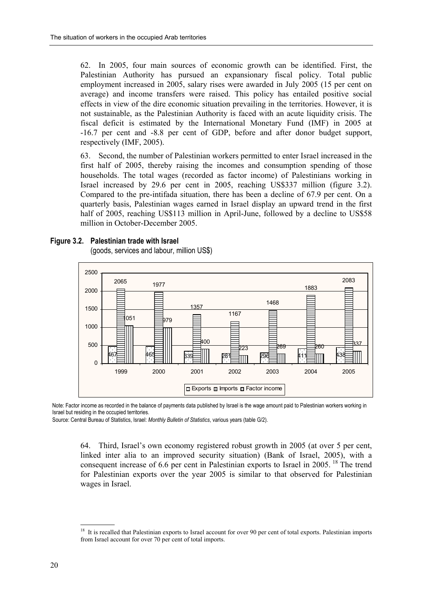62. In 2005, four main sources of economic growth can be identified. First, the Palestinian Authority has pursued an expansionary fiscal policy. Total public employment increased in 2005, salary rises were awarded in July 2005 (15 per cent on average) and income transfers were raised. This policy has entailed positive social effects in view of the dire economic situation prevailing in the territories. However, it is not sustainable, as the Palestinian Authority is faced with an acute liquidity crisis. The fiscal deficit is estimated by the International Monetary Fund (IMF) in 2005 at -16.7 per cent and -8.8 per cent of GDP, before and after donor budget support, respectively (IMF, 2005).

63. Second, the number of Palestinian workers permitted to enter Israel increased in the first half of 2005, thereby raising the incomes and consumption spending of those households. The total wages (recorded as factor income) of Palestinians working in Israel increased by 29.6 per cent in 2005, reaching US\$337 million (figure 3.2). Compared to the pre-intifada situation, there has been a decline of 67.9 per cent. On a quarterly basis, Palestinian wages earned in Israel display an upward trend in the first half of 2005, reaching US\$113 million in April-June, followed by a decline to US\$58 million in October-December 2005.



#### **Figure 3.2. Palestinian trade with Israel**

(goods, services and labour, million US\$)

Note: Factor income as recorded in the balance of payments data published by Israel is the wage amount paid to Palestinian workers working in Israel but residing in the occupied territories.

Source: Central Bureau of Statistics, Israel: *Monthly Bulletin of Statistics*, various years (table G/2).

64. Third, Israelís own economy registered robust growth in 2005 (at over 5 per cent, linked inter alia to an improved security situation) (Bank of Israel, 2005), with a consequent increase of 6.6 per cent in Palestinian exports to Israel in 2005. <sup>18</sup> The trend for Palestinian exports over the year 2005 is similar to that observed for Palestinian wages in Israel.

 18 It is recalled that Palestinian exports to Israel account for over 90 per cent of total exports. Palestinian imports from Israel account for over 70 per cent of total imports.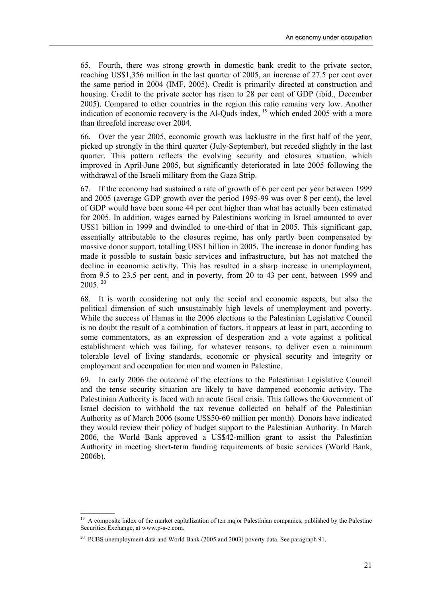65. Fourth, there was strong growth in domestic bank credit to the private sector, reaching US\$1,356 million in the last quarter of 2005, an increase of 27.5 per cent over the same period in 2004 (IMF, 2005). Credit is primarily directed at construction and housing. Credit to the private sector has risen to 28 per cent of GDP (ibid., December 2005). Compared to other countries in the region this ratio remains very low. Another indication of economic recovery is the Al-Quds index, 19 which ended 2005 with a more than threefold increase over 2004.

66. Over the year 2005, economic growth was lacklustre in the first half of the year, picked up strongly in the third quarter (July-September), but receded slightly in the last quarter. This pattern reflects the evolving security and closures situation, which improved in April-June 2005, but significantly deteriorated in late 2005 following the withdrawal of the Israeli military from the Gaza Strip.

67. If the economy had sustained a rate of growth of 6 per cent per year between 1999 and 2005 (average GDP growth over the period 1995-99 was over 8 per cent), the level of GDP would have been some 44 per cent higher than what has actually been estimated for 2005. In addition, wages earned by Palestinians working in Israel amounted to over US\$1 billion in 1999 and dwindled to one-third of that in 2005. This significant gap, essentially attributable to the closures regime, has only partly been compensated by massive donor support, totalling US\$1 billion in 2005. The increase in donor funding has made it possible to sustain basic services and infrastructure, but has not matched the decline in economic activity. This has resulted in a sharp increase in unemployment, from 9.5 to 23.5 per cent, and in poverty, from 20 to 43 per cent, between 1999 and  $2005.$ <sup>20</sup>

68. It is worth considering not only the social and economic aspects, but also the political dimension of such unsustainably high levels of unemployment and poverty. While the success of Hamas in the 2006 elections to the Palestinian Legislative Council is no doubt the result of a combination of factors, it appears at least in part, according to some commentators, as an expression of desperation and a vote against a political establishment which was failing, for whatever reasons, to deliver even a minimum tolerable level of living standards, economic or physical security and integrity or employment and occupation for men and women in Palestine.

69. In early 2006 the outcome of the elections to the Palestinian Legislative Council and the tense security situation are likely to have dampened economic activity. The Palestinian Authority is faced with an acute fiscal crisis. This follows the Government of Israel decision to withhold the tax revenue collected on behalf of the Palestinian Authority as of March 2006 (some US\$50-60 million per month). Donors have indicated they would review their policy of budget support to the Palestinian Authority. In March 2006, the World Bank approved a US\$42-million grant to assist the Palestinian Authority in meeting short-term funding requirements of basic services (World Bank, 2006b).

 $\overline{a}$ 

<sup>&</sup>lt;sup>19</sup> A composite index of the market capitalization of ten major Palestinian companies, published by the Palestine Securities Exchange, at www.p-s-e.com.

<sup>&</sup>lt;sup>20</sup> PCBS unemployment data and World Bank (2005 and 2003) poverty data. See paragraph 91.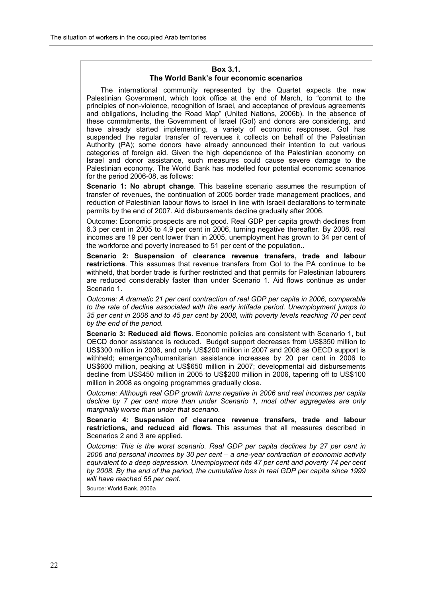#### **Box 3.1. The World Bankís four economic scenarios**

The international community represented by the Quartet expects the new Palestinian Government, which took office at the end of March, to "commit to the principles of non-violence, recognition of Israel, and acceptance of previous agreements and obligations, including the Road Mapî (United Nations, 2006b). In the absence of these commitments, the Government of Israel (GoI) and donors are considering, and have already started implementing, a variety of economic responses. Gol has suspended the regular transfer of revenues it collects on behalf of the Palestinian Authority (PA); some donors have already announced their intention to cut various categories of foreign aid. Given the high dependence of the Palestinian economy on Israel and donor assistance, such measures could cause severe damage to the Palestinian economy. The World Bank has modelled four potential economic scenarios for the period 2006-08, as follows:

**Scenario 1: No abrupt change**. This baseline scenario assumes the resumption of transfer of revenues, the continuation of 2005 border trade management practices, and reduction of Palestinian labour flows to Israel in line with Israeli declarations to terminate permits by the end of 2007. Aid disbursements decline gradually after 2006.

Outcome: Economic prospects are not good. Real GDP per capita growth declines from 6.3 per cent in 2005 to 4.9 per cent in 2006, turning negative thereafter. By 2008, real incomes are 19 per cent lower than in 2005, unemployment has grown to 34 per cent of the workforce and poverty increased to 51 per cent of the population..

**Scenario 2: Suspension of clearance revenue transfers, trade and labour restrictions**. This assumes that revenue transfers from GoI to the PA continue to be withheld, that border trade is further restricted and that permits for Palestinian labourers are reduced considerably faster than under Scenario 1. Aid flows continue as under Scenario 1.

*Outcome: A dramatic 21 per cent contraction of real GDP per capita in 2006, comparable to the rate of decline associated with the early intifada period. Unemployment jumps to 35 per cent in 2006 and to 45 per cent by 2008, with poverty levels reaching 70 per cent by the end of the period.* 

**Scenario 3: Reduced aid flows**. Economic policies are consistent with Scenario 1, but OECD donor assistance is reduced. Budget support decreases from US\$350 million to US\$300 million in 2006, and only US\$200 million in 2007 and 2008 as OECD support is withheld; emergency/humanitarian assistance increases by 20 per cent in 2006 to US\$600 million, peaking at US\$650 million in 2007; developmental aid disbursements decline from US\$450 million in 2005 to US\$200 million in 2006, tapering off to US\$100 million in 2008 as ongoing programmes gradually close.

*Outcome: Although real GDP growth turns negative in 2006 and real incomes per capita decline by 7 per cent more than under Scenario 1, most other aggregates are only marginally worse than under that scenario.* 

**Scenario 4: Suspension of clearance revenue transfers, trade and labour restrictions, and reduced aid flows**. This assumes that all measures described in Scenarios 2 and 3 are applied.

*Outcome: This is the worst scenario. Real GDP per capita declines by 27 per cent in*  2006 and personal incomes by 30 per cent - a one-year contraction of economic activity *equivalent to a deep depression. Unemployment hits 47 per cent and poverty 74 per cent by 2008. By the end of the period, the cumulative loss in real GDP per capita since 1999 will have reached 55 per cent.* 

Source: World Bank, 2006a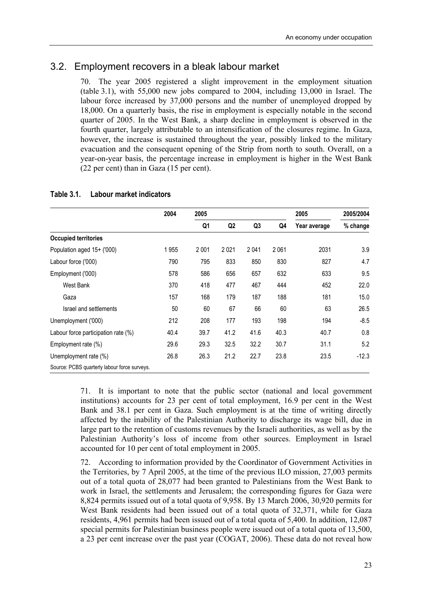### 3.2. Employment recovers in a bleak labour market

70. The year 2005 registered a slight improvement in the employment situation (table 3.1), with 55,000 new jobs compared to 2004, including 13,000 in Israel. The labour force increased by 37,000 persons and the number of unemployed dropped by 18,000. On a quarterly basis, the rise in employment is especially notable in the second quarter of 2005. In the West Bank, a sharp decline in employment is observed in the fourth quarter, largely attributable to an intensification of the closures regime. In Gaza, however, the increase is sustained throughout the year, possibly linked to the military evacuation and the consequent opening of the Strip from north to south. Overall, on a year-on-year basis, the percentage increase in employment is higher in the West Bank (22 per cent) than in Gaza (15 per cent).

|                                              | 2004 | 2005 |                |      |      | 2005         | 2005/2004 |
|----------------------------------------------|------|------|----------------|------|------|--------------|-----------|
|                                              |      | Q1   | Q <sub>2</sub> | Q3   | Q4   | Year average | % change  |
| <b>Occupied territories</b>                  |      |      |                |      |      |              |           |
| Population aged 15+ ('000)                   | 1955 | 2001 | 2021           | 2041 | 2061 | 2031         | 3.9       |
| Labour force ('000)                          | 790  | 795  | 833            | 850  | 830  | 827          | 4.7       |
| Employment ('000)                            | 578  | 586  | 656            | 657  | 632  | 633          | 9.5       |
| West Bank                                    | 370  | 418  | 477            | 467  | 444  | 452          | 22.0      |
| Gaza                                         | 157  | 168  | 179            | 187  | 188  | 181          | 15.0      |
| Israel and settlements                       | 50   | 60   | 67             | 66   | 60   | 63           | 26.5      |
| Unemployment ('000)                          | 212  | 208  | 177            | 193  | 198  | 194          | $-8.5$    |
| Labour force participation rate (%)          | 40.4 | 39.7 | 41.2           | 41.6 | 40.3 | 40.7         | 0.8       |
| Employment rate (%)                          | 29.6 | 29.3 | 32.5           | 32.2 | 30.7 | 31.1         | 5.2       |
| Unemployment rate (%)                        | 26.8 | 26.3 | 21.2           | 22.7 | 23.8 | 23.5         | $-12.3$   |
| Source: PCBS quarterly labour force surveys. |      |      |                |      |      |              |           |

#### **Table 3.1. Labour market indicators**

71. It is important to note that the public sector (national and local government institutions) accounts for 23 per cent of total employment, 16.9 per cent in the West Bank and 38.1 per cent in Gaza. Such employment is at the time of writing directly affected by the inability of the Palestinian Authority to discharge its wage bill, due in large part to the retention of customs revenues by the Israeli authorities, as well as by the Palestinian Authority's loss of income from other sources. Employment in Israel accounted for 10 per cent of total employment in 2005.

72. According to information provided by the Coordinator of Government Activities in the Territories, by 7 April 2005, at the time of the previous ILO mission, 27,003 permits out of a total quota of 28,077 had been granted to Palestinians from the West Bank to work in Israel, the settlements and Jerusalem; the corresponding figures for Gaza were 8,824 permits issued out of a total quota of 9,958. By 13 March 2006, 30,920 permits for West Bank residents had been issued out of a total quota of 32,371, while for Gaza residents, 4,961 permits had been issued out of a total quota of 5,400. In addition, 12,087 special permits for Palestinian business people were issued out of a total quota of 13,500, a 23 per cent increase over the past year (COGAT, 2006). These data do not reveal how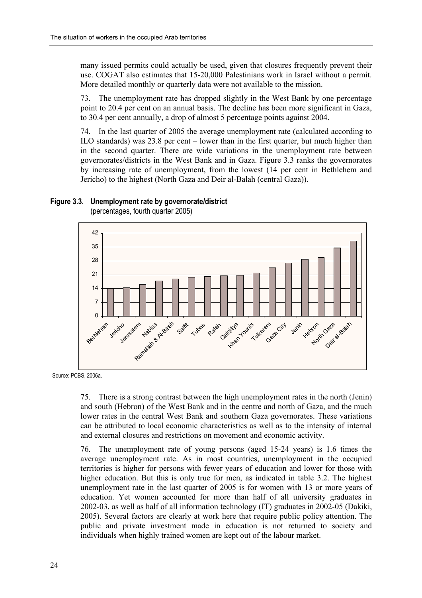many issued permits could actually be used, given that closures frequently prevent their use. COGAT also estimates that 15-20,000 Palestinians work in Israel without a permit. More detailed monthly or quarterly data were not available to the mission.

73. The unemployment rate has dropped slightly in the West Bank by one percentage point to 20.4 per cent on an annual basis. The decline has been more significant in Gaza, to 30.4 per cent annually, a drop of almost 5 percentage points against 2004.

74. In the last quarter of 2005 the average unemployment rate (calculated according to ILO standards) was  $23.8$  per cent  $-$  lower than in the first quarter, but much higher than in the second quarter. There are wide variations in the unemployment rate between governorates/districts in the West Bank and in Gaza. Figure 3.3 ranks the governorates by increasing rate of unemployment, from the lowest (14 per cent in Bethlehem and Jericho) to the highest (North Gaza and Deir al-Balah (central Gaza)).

#### **Figure 3.3. Unemployment rate by governorate/district**



(percentages, fourth quarter 2005)

Source: PCBS, 2006a.

75. There is a strong contrast between the high unemployment rates in the north (Jenin) and south (Hebron) of the West Bank and in the centre and north of Gaza, and the much lower rates in the central West Bank and southern Gaza governorates. These variations can be attributed to local economic characteristics as well as to the intensity of internal and external closures and restrictions on movement and economic activity.

76. The unemployment rate of young persons (aged 15-24 years) is 1.6 times the average unemployment rate. As in most countries, unemployment in the occupied territories is higher for persons with fewer years of education and lower for those with higher education. But this is only true for men, as indicated in table 3.2. The highest unemployment rate in the last quarter of 2005 is for women with 13 or more years of education. Yet women accounted for more than half of all university graduates in 2002-03, as well as half of all information technology (IT) graduates in 2002-05 (Dakiki, 2005). Several factors are clearly at work here that require public policy attention. The public and private investment made in education is not returned to society and individuals when highly trained women are kept out of the labour market.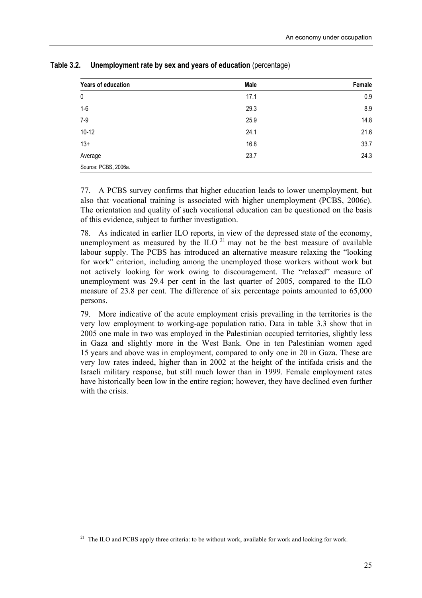| Years of education   | <b>Male</b> | Female |
|----------------------|-------------|--------|
| 0                    | 17.1        | 0.9    |
| $1-6$                | 29.3        | 8.9    |
| $7-9$                | 25.9        | 14.8   |
| $10-12$              | 24.1        | 21.6   |
| $13+$                | 16.8        | 33.7   |
| Average              | 23.7        | 24.3   |
| Source: PCBS, 2006a. |             |        |

**Table 3.2. Unemployment rate by sex and years of education** (percentage)

77. A PCBS survey confirms that higher education leads to lower unemployment, but also that vocational training is associated with higher unemployment (PCBS, 2006c). The orientation and quality of such vocational education can be questioned on the basis of this evidence, subject to further investigation.

78. As indicated in earlier ILO reports, in view of the depressed state of the economy, unemployment as measured by the ILO  $^{21}$  may not be the best measure of available labour supply. The PCBS has introduced an alternative measure relaxing the "looking for work" criterion, including among the unemployed those workers without work but not actively looking for work owing to discouragement. The "relaxed" measure of unemployment was 29.4 per cent in the last quarter of 2005, compared to the ILO measure of 23.8 per cent. The difference of six percentage points amounted to 65,000 persons.

79. More indicative of the acute employment crisis prevailing in the territories is the very low employment to working-age population ratio. Data in table 3.3 show that in 2005 one male in two was employed in the Palestinian occupied territories, slightly less in Gaza and slightly more in the West Bank. One in ten Palestinian women aged 15 years and above was in employment, compared to only one in 20 in Gaza. These are very low rates indeed, higher than in 2002 at the height of the intifada crisis and the Israeli military response, but still much lower than in 1999. Female employment rates have historically been low in the entire region; however, they have declined even further with the crisis.

 <sup>21</sup> The ILO and PCBS apply three criteria: to be without work, available for work and looking for work.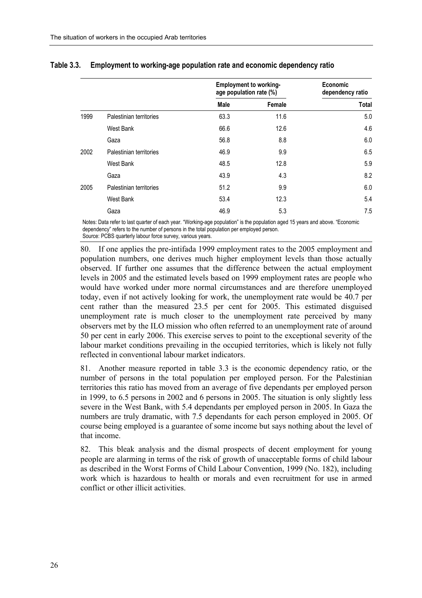|      |                         | <b>Employment to working-</b><br>age population rate (%) |        | Economic<br>dependency ratio |  |
|------|-------------------------|----------------------------------------------------------|--------|------------------------------|--|
|      |                         | Male                                                     | Female | <b>Total</b>                 |  |
| 1999 | Palestinian territories | 63.3                                                     | 11.6   | 5.0                          |  |
|      | West Bank               | 66.6                                                     | 12.6   | 4.6                          |  |
|      | Gaza                    | 56.8                                                     | 8.8    | 6.0                          |  |
| 2002 | Palestinian territories | 46.9                                                     | 9.9    | 6.5                          |  |
|      | West Bank               | 48.5                                                     | 12.8   | 5.9                          |  |
|      | Gaza                    | 43.9                                                     | 4.3    | 8.2                          |  |
| 2005 | Palestinian territories | 51.2                                                     | 9.9    | 6.0                          |  |
|      | West Bank               | 53.4                                                     | 12.3   | 5.4                          |  |
|      | Gaza                    | 46.9                                                     | 5.3    | 7.5                          |  |

#### **Table 3.3. Employment to working-age population rate and economic dependency ratio**

Notes: Data refer to last quarter of each year. "Working-age population" is the population aged 15 years and above. "Economic dependencyî refers to the number of persons in the total population per employed person. Source: PCBS quarterly labour force survey, various years.

80. If one applies the pre-intifada 1999 employment rates to the 2005 employment and population numbers, one derives much higher employment levels than those actually observed. If further one assumes that the difference between the actual employment levels in 2005 and the estimated levels based on 1999 employment rates are people who would have worked under more normal circumstances and are therefore unemployed today, even if not actively looking for work, the unemployment rate would be 40.7 per cent rather than the measured 23.5 per cent for 2005. This estimated disguised unemployment rate is much closer to the unemployment rate perceived by many observers met by the ILO mission who often referred to an unemployment rate of around 50 per cent in early 2006. This exercise serves to point to the exceptional severity of the labour market conditions prevailing in the occupied territories, which is likely not fully reflected in conventional labour market indicators.

81. Another measure reported in table 3.3 is the economic dependency ratio, or the number of persons in the total population per employed person. For the Palestinian territories this ratio has moved from an average of five dependants per employed person in 1999, to 6.5 persons in 2002 and 6 persons in 2005. The situation is only slightly less severe in the West Bank, with 5.4 dependants per employed person in 2005. In Gaza the numbers are truly dramatic, with 7.5 dependants for each person employed in 2005. Of course being employed is a guarantee of some income but says nothing about the level of that income.

82. This bleak analysis and the dismal prospects of decent employment for young people are alarming in terms of the risk of growth of unacceptable forms of child labour as described in the Worst Forms of Child Labour Convention, 1999 (No. 182), including work which is hazardous to health or morals and even recruitment for use in armed conflict or other illicit activities.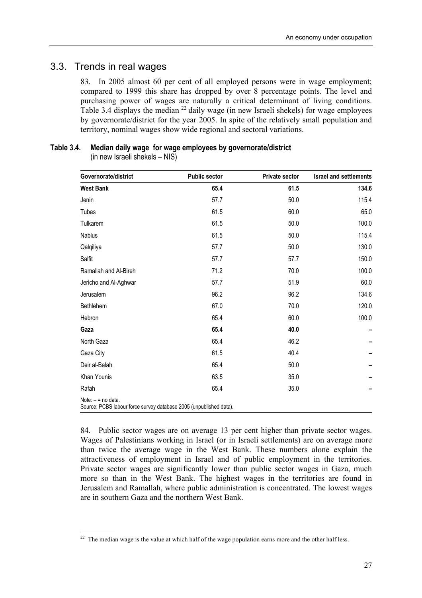### 3.3. Trends in real wages

83. In 2005 almost 60 per cent of all employed persons were in wage employment; compared to 1999 this share has dropped by over 8 percentage points. The level and purchasing power of wages are naturally a critical determinant of living conditions. Table 3.4 displays the median  $^{22}$  daily wage (in new Israeli shekels) for wage employees by governorate/district for the year 2005. In spite of the relatively small population and territory, nominal wages show wide regional and sectoral variations.

### **Table 3.4. Median daily wage for wage employees by governorate/district**

 $(in new Israeli sheets - NIS)$ 

| Governorate/district                                                                       | <b>Public sector</b> | <b>Private sector</b> | <b>Israel and settlements</b> |
|--------------------------------------------------------------------------------------------|----------------------|-----------------------|-------------------------------|
| <b>West Bank</b>                                                                           | 65.4                 | 61.5                  | 134.6                         |
| Jenin                                                                                      | 57.7                 | 50.0                  | 115.4                         |
| Tubas                                                                                      | 61.5                 | 60.0                  | 65.0                          |
| Tulkarem                                                                                   | 61.5                 | 50.0                  | 100.0                         |
| Nablus                                                                                     | 61.5                 | 50.0                  | 115.4                         |
| Qalqiliya                                                                                  | 57.7                 | 50.0                  | 130.0                         |
| Salfit                                                                                     | 57.7                 | 57.7                  | 150.0                         |
| Ramallah and Al-Bireh                                                                      | 71.2                 | 70.0                  | 100.0                         |
| Jericho and Al-Aghwar                                                                      | 57.7                 | 51.9                  | 60.0                          |
| Jerusalem                                                                                  | 96.2                 | 96.2                  | 134.6                         |
| Bethlehem                                                                                  | 67.0                 | 70.0                  | 120.0                         |
| Hebron                                                                                     | 65.4                 | 60.0                  | 100.0                         |
| Gaza                                                                                       | 65.4                 | 40.0                  |                               |
| North Gaza                                                                                 | 65.4                 | 46.2                  |                               |
| Gaza City                                                                                  | 61.5                 | 40.4                  |                               |
| Deir al-Balah                                                                              | 65.4                 | 50.0                  |                               |
| Khan Younis                                                                                | 63.5                 | 35.0                  |                               |
| Rafah                                                                                      | 65.4                 | 35.0                  |                               |
| Note: $-$ = no data.<br>Source: PCBS labour force survey database 2005 (unpublished data). |                      |                       |                               |

84. Public sector wages are on average 13 per cent higher than private sector wages. Wages of Palestinians working in Israel (or in Israeli settlements) are on average more than twice the average wage in the West Bank. These numbers alone explain the attractiveness of employment in Israel and of public employment in the territories. Private sector wages are significantly lower than public sector wages in Gaza, much more so than in the West Bank. The highest wages in the territories are found in Jerusalem and Ramallah, where public administration is concentrated. The lowest wages are in southern Gaza and the northern West Bank.

 <sup>22</sup> The median wage is the value at which half of the wage population earns more and the other half less.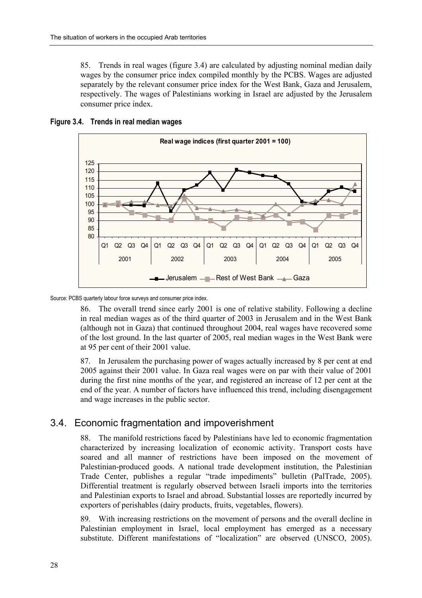85. Trends in real wages (figure 3.4) are calculated by adjusting nominal median daily wages by the consumer price index compiled monthly by the PCBS. Wages are adjusted separately by the relevant consumer price index for the West Bank, Gaza and Jerusalem, respectively. The wages of Palestinians working in Israel are adjusted by the Jerusalem consumer price index.



#### **Figure 3.4. Trends in real median wages**

Source: PCBS quarterly labour force surveys and consumer price index.

86. The overall trend since early 2001 is one of relative stability. Following a decline in real median wages as of the third quarter of 2003 in Jerusalem and in the West Bank (although not in Gaza) that continued throughout 2004, real wages have recovered some of the lost ground. In the last quarter of 2005, real median wages in the West Bank were at 95 per cent of their 2001 value.

87. In Jerusalem the purchasing power of wages actually increased by 8 per cent at end 2005 against their 2001 value. In Gaza real wages were on par with their value of 2001 during the first nine months of the year, and registered an increase of 12 per cent at the end of the year. A number of factors have influenced this trend, including disengagement and wage increases in the public sector.

### 3.4. Economic fragmentation and impoverishment

88. The manifold restrictions faced by Palestinians have led to economic fragmentation characterized by increasing localization of economic activity. Transport costs have soared and all manner of restrictions have been imposed on the movement of Palestinian-produced goods. A national trade development institution, the Palestinian Trade Center, publishes a regular "trade impediments" bulletin (PalTrade, 2005). Differential treatment is regularly observed between Israeli imports into the territories and Palestinian exports to Israel and abroad. Substantial losses are reportedly incurred by exporters of perishables (dairy products, fruits, vegetables, flowers).

89. With increasing restrictions on the movement of persons and the overall decline in Palestinian employment in Israel, local employment has emerged as a necessary substitute. Different manifestations of "localization" are observed (UNSCO, 2005).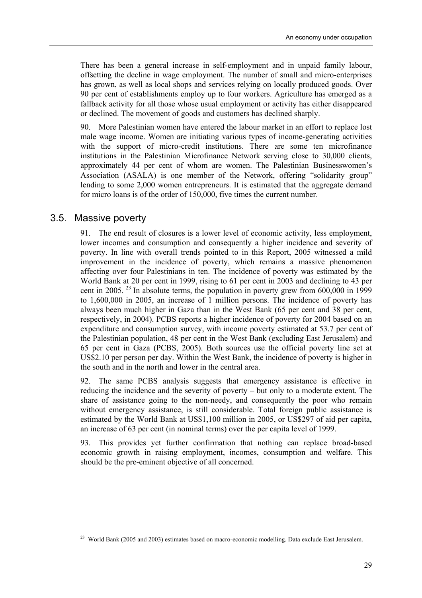There has been a general increase in self-employment and in unpaid family labour, offsetting the decline in wage employment. The number of small and micro-enterprises has grown, as well as local shops and services relying on locally produced goods. Over 90 per cent of establishments employ up to four workers. Agriculture has emerged as a fallback activity for all those whose usual employment or activity has either disappeared or declined. The movement of goods and customers has declined sharply.

90. More Palestinian women have entered the labour market in an effort to replace lost male wage income. Women are initiating various types of income-generating activities with the support of micro-credit institutions. There are some ten microfinance institutions in the Palestinian Microfinance Network serving close to 30,000 clients, approximately 44 per cent of whom are women. The Palestinian Businesswomenís Association (ASALA) is one member of the Network, offering "solidarity group" lending to some 2,000 women entrepreneurs. It is estimated that the aggregate demand for micro loans is of the order of 150,000, five times the current number.

### 3.5. Massive poverty

91. The end result of closures is a lower level of economic activity, less employment, lower incomes and consumption and consequently a higher incidence and severity of poverty. In line with overall trends pointed to in this Report, 2005 witnessed a mild improvement in the incidence of poverty, which remains a massive phenomenon affecting over four Palestinians in ten. The incidence of poverty was estimated by the World Bank at 20 per cent in 1999, rising to 61 per cent in 2003 and declining to 43 per cent in 2005. <sup>23</sup> In absolute terms, the population in poverty grew from  $600,000$  in 1999 to 1,600,000 in 2005, an increase of 1 million persons. The incidence of poverty has always been much higher in Gaza than in the West Bank (65 per cent and 38 per cent, respectively, in 2004). PCBS reports a higher incidence of poverty for 2004 based on an expenditure and consumption survey, with income poverty estimated at 53.7 per cent of the Palestinian population, 48 per cent in the West Bank (excluding East Jerusalem) and 65 per cent in Gaza (PCBS, 2005). Both sources use the official poverty line set at US\$2.10 per person per day. Within the West Bank, the incidence of poverty is higher in the south and in the north and lower in the central area.

92. The same PCBS analysis suggests that emergency assistance is effective in reducing the incidence and the severity of poverty  $-$  but only to a moderate extent. The share of assistance going to the non-needy, and consequently the poor who remain without emergency assistance, is still considerable. Total foreign public assistance is estimated by the World Bank at US\$1,100 million in 2005, or US\$297 of aid per capita, an increase of 63 per cent (in nominal terms) over the per capita level of 1999.

93. This provides yet further confirmation that nothing can replace broad-based economic growth in raising employment, incomes, consumption and welfare. This should be the pre-eminent objective of all concerned.

 $2<sup>23</sup>$  World Bank (2005 and 2003) estimates based on macro-economic modelling. Data exclude East Jerusalem.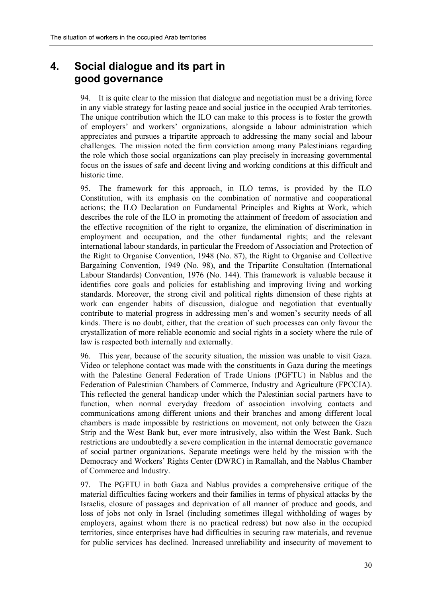### **4. Social dialogue and its part in good governance**

94. It is quite clear to the mission that dialogue and negotiation must be a driving force in any viable strategy for lasting peace and social justice in the occupied Arab territories. The unique contribution which the ILO can make to this process is to foster the growth of employers' and workers' organizations, alongside a labour administration which appreciates and pursues a tripartite approach to addressing the many social and labour challenges. The mission noted the firm conviction among many Palestinians regarding the role which those social organizations can play precisely in increasing governmental focus on the issues of safe and decent living and working conditions at this difficult and historic time.

95. The framework for this approach, in ILO terms, is provided by the ILO Constitution, with its emphasis on the combination of normative and cooperational actions; the ILO Declaration on Fundamental Principles and Rights at Work, which describes the role of the ILO in promoting the attainment of freedom of association and the effective recognition of the right to organize, the elimination of discrimination in employment and occupation, and the other fundamental rights; and the relevant international labour standards, in particular the Freedom of Association and Protection of the Right to Organise Convention, 1948 (No. 87), the Right to Organise and Collective Bargaining Convention, 1949 (No. 98), and the Tripartite Consultation (International Labour Standards) Convention, 1976 (No. 144). This framework is valuable because it identifies core goals and policies for establishing and improving living and working standards. Moreover, the strong civil and political rights dimension of these rights at work can engender habits of discussion, dialogue and negotiation that eventually contribute to material progress in addressing men's and women's security needs of all kinds. There is no doubt, either, that the creation of such processes can only favour the crystallization of more reliable economic and social rights in a society where the rule of law is respected both internally and externally.

96. This year, because of the security situation, the mission was unable to visit Gaza. Video or telephone contact was made with the constituents in Gaza during the meetings with the Palestine General Federation of Trade Unions (PGFTU) in Nablus and the Federation of Palestinian Chambers of Commerce, Industry and Agriculture (FPCCIA). This reflected the general handicap under which the Palestinian social partners have to function, when normal everyday freedom of association involving contacts and communications among different unions and their branches and among different local chambers is made impossible by restrictions on movement, not only between the Gaza Strip and the West Bank but, ever more intrusively, also within the West Bank. Such restrictions are undoubtedly a severe complication in the internal democratic governance of social partner organizations. Separate meetings were held by the mission with the Democracy and Workers' Rights Center (DWRC) in Ramallah, and the Nablus Chamber of Commerce and Industry.

97. The PGFTU in both Gaza and Nablus provides a comprehensive critique of the material difficulties facing workers and their families in terms of physical attacks by the Israelis, closure of passages and deprivation of all manner of produce and goods, and loss of jobs not only in Israel (including sometimes illegal withholding of wages by employers, against whom there is no practical redress) but now also in the occupied territories, since enterprises have had difficulties in securing raw materials, and revenue for public services has declined. Increased unreliability and insecurity of movement to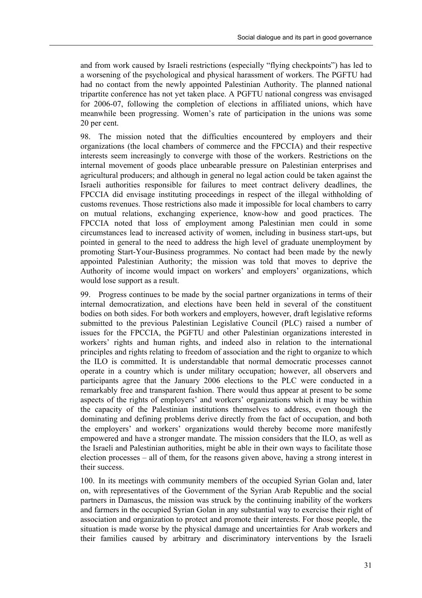and from work caused by Israeli restrictions (especially "flying checkpoints") has led to a worsening of the psychological and physical harassment of workers. The PGFTU had had no contact from the newly appointed Palestinian Authority. The planned national tripartite conference has not yet taken place. A PGFTU national congress was envisaged for 2006-07, following the completion of elections in affiliated unions, which have meanwhile been progressing. Women's rate of participation in the unions was some 20 per cent.

98. The mission noted that the difficulties encountered by employers and their organizations (the local chambers of commerce and the FPCCIA) and their respective interests seem increasingly to converge with those of the workers. Restrictions on the internal movement of goods place unbearable pressure on Palestinian enterprises and agricultural producers; and although in general no legal action could be taken against the Israeli authorities responsible for failures to meet contract delivery deadlines, the FPCCIA did envisage instituting proceedings in respect of the illegal withholding of customs revenues. Those restrictions also made it impossible for local chambers to carry on mutual relations, exchanging experience, know-how and good practices. The FPCCIA noted that loss of employment among Palestinian men could in some circumstances lead to increased activity of women, including in business start-ups, but pointed in general to the need to address the high level of graduate unemployment by promoting Start-Your-Business programmes. No contact had been made by the newly appointed Palestinian Authority; the mission was told that moves to deprive the Authority of income would impact on workers' and employers' organizations, which would lose support as a result.

99. Progress continues to be made by the social partner organizations in terms of their internal democratization, and elections have been held in several of the constituent bodies on both sides. For both workers and employers, however, draft legislative reforms submitted to the previous Palestinian Legislative Council (PLC) raised a number of issues for the FPCCIA, the PGFTU and other Palestinian organizations interested in workers' rights and human rights, and indeed also in relation to the international principles and rights relating to freedom of association and the right to organize to which the ILO is committed. It is understandable that normal democratic processes cannot operate in a country which is under military occupation; however, all observers and participants agree that the January 2006 elections to the PLC were conducted in a remarkably free and transparent fashion. There would thus appear at present to be some aspects of the rights of employers' and workers' organizations which it may be within the capacity of the Palestinian institutions themselves to address, even though the dominating and defining problems derive directly from the fact of occupation, and both the employers' and workers' organizations would thereby become more manifestly empowered and have a stronger mandate. The mission considers that the ILO, as well as the Israeli and Palestinian authorities, might be able in their own ways to facilitate those election processes  $-$  all of them, for the reasons given above, having a strong interest in their success.

100. In its meetings with community members of the occupied Syrian Golan and, later on, with representatives of the Government of the Syrian Arab Republic and the social partners in Damascus, the mission was struck by the continuing inability of the workers and farmers in the occupied Syrian Golan in any substantial way to exercise their right of association and organization to protect and promote their interests. For those people, the situation is made worse by the physical damage and uncertainties for Arab workers and their families caused by arbitrary and discriminatory interventions by the Israeli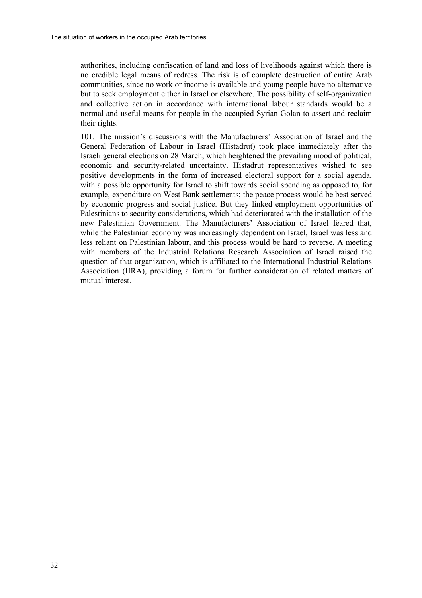authorities, including confiscation of land and loss of livelihoods against which there is no credible legal means of redress. The risk is of complete destruction of entire Arab communities, since no work or income is available and young people have no alternative but to seek employment either in Israel or elsewhere. The possibility of self-organization and collective action in accordance with international labour standards would be a normal and useful means for people in the occupied Syrian Golan to assert and reclaim their rights.

101. The mission's discussions with the Manufacturers' Association of Israel and the General Federation of Labour in Israel (Histadrut) took place immediately after the Israeli general elections on 28 March, which heightened the prevailing mood of political, economic and security-related uncertainty. Histadrut representatives wished to see positive developments in the form of increased electoral support for a social agenda, with a possible opportunity for Israel to shift towards social spending as opposed to, for example, expenditure on West Bank settlements; the peace process would be best served by economic progress and social justice. But they linked employment opportunities of Palestinians to security considerations, which had deteriorated with the installation of the new Palestinian Government. The Manufacturers' Association of Israel feared that, while the Palestinian economy was increasingly dependent on Israel, Israel was less and less reliant on Palestinian labour, and this process would be hard to reverse. A meeting with members of the Industrial Relations Research Association of Israel raised the question of that organization, which is affiliated to the International Industrial Relations Association (IIRA), providing a forum for further consideration of related matters of mutual interest.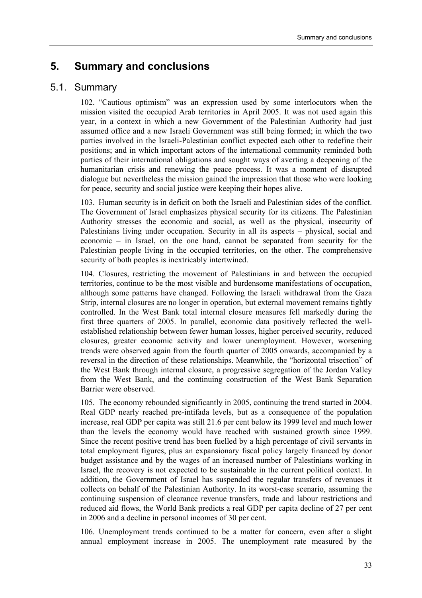### **5. Summary and conclusions**

### 5.1. Summary

102. "Cautious optimism" was an expression used by some interlocutors when the mission visited the occupied Arab territories in April 2005. It was not used again this year, in a context in which a new Government of the Palestinian Authority had just assumed office and a new Israeli Government was still being formed; in which the two parties involved in the Israeli-Palestinian conflict expected each other to redefine their positions; and in which important actors of the international community reminded both parties of their international obligations and sought ways of averting a deepening of the humanitarian crisis and renewing the peace process. It was a moment of disrupted dialogue but nevertheless the mission gained the impression that those who were looking for peace, security and social justice were keeping their hopes alive.

103. Human security is in deficit on both the Israeli and Palestinian sides of the conflict. The Government of Israel emphasizes physical security for its citizens. The Palestinian Authority stresses the economic and social, as well as the physical, insecurity of Palestinians living under occupation. Security in all its aspects – physical, social and economic  $-$  in Israel, on the one hand, cannot be separated from security for the Palestinian people living in the occupied territories, on the other. The comprehensive security of both peoples is inextricably intertwined.

104. Closures, restricting the movement of Palestinians in and between the occupied territories, continue to be the most visible and burdensome manifestations of occupation, although some patterns have changed. Following the Israeli withdrawal from the Gaza Strip, internal closures are no longer in operation, but external movement remains tightly controlled. In the West Bank total internal closure measures fell markedly during the first three quarters of 2005. In parallel, economic data positively reflected the wellestablished relationship between fewer human losses, higher perceived security, reduced closures, greater economic activity and lower unemployment. However, worsening trends were observed again from the fourth quarter of 2005 onwards, accompanied by a reversal in the direction of these relationships. Meanwhile, the "horizontal trisection" of the West Bank through internal closure, a progressive segregation of the Jordan Valley from the West Bank, and the continuing construction of the West Bank Separation Barrier were observed.

105. The economy rebounded significantly in 2005, continuing the trend started in 2004. Real GDP nearly reached pre-intifada levels, but as a consequence of the population increase, real GDP per capita was still 21.6 per cent below its 1999 level and much lower than the levels the economy would have reached with sustained growth since 1999. Since the recent positive trend has been fuelled by a high percentage of civil servants in total employment figures, plus an expansionary fiscal policy largely financed by donor budget assistance and by the wages of an increased number of Palestinians working in Israel, the recovery is not expected to be sustainable in the current political context. In addition, the Government of Israel has suspended the regular transfers of revenues it collects on behalf of the Palestinian Authority. In its worst-case scenario, assuming the continuing suspension of clearance revenue transfers, trade and labour restrictions and reduced aid flows, the World Bank predicts a real GDP per capita decline of 27 per cent in 2006 and a decline in personal incomes of 30 per cent.

106. Unemployment trends continued to be a matter for concern, even after a slight annual employment increase in 2005. The unemployment rate measured by the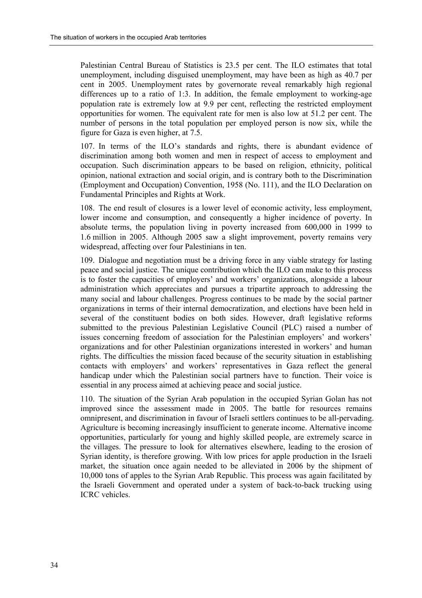Palestinian Central Bureau of Statistics is 23.5 per cent. The ILO estimates that total unemployment, including disguised unemployment, may have been as high as 40.7 per cent in 2005. Unemployment rates by governorate reveal remarkably high regional differences up to a ratio of 1:3. In addition, the female employment to working-age population rate is extremely low at 9.9 per cent, reflecting the restricted employment opportunities for women. The equivalent rate for men is also low at 51.2 per cent. The number of persons in the total population per employed person is now six, while the figure for Gaza is even higher, at 7.5.

107. In terms of the ILOís standards and rights, there is abundant evidence of discrimination among both women and men in respect of access to employment and occupation. Such discrimination appears to be based on religion, ethnicity, political opinion, national extraction and social origin, and is contrary both to the Discrimination (Employment and Occupation) Convention, 1958 (No. 111), and the ILO Declaration on Fundamental Principles and Rights at Work.

108. The end result of closures is a lower level of economic activity, less employment, lower income and consumption, and consequently a higher incidence of poverty. In absolute terms, the population living in poverty increased from 600,000 in 1999 to 1.6 million in 2005. Although 2005 saw a slight improvement, poverty remains very widespread, affecting over four Palestinians in ten.

109. Dialogue and negotiation must be a driving force in any viable strategy for lasting peace and social justice. The unique contribution which the ILO can make to this process is to foster the capacities of employers' and workers' organizations, alongside a labour administration which appreciates and pursues a tripartite approach to addressing the many social and labour challenges. Progress continues to be made by the social partner organizations in terms of their internal democratization, and elections have been held in several of the constituent bodies on both sides. However, draft legislative reforms submitted to the previous Palestinian Legislative Council (PLC) raised a number of issues concerning freedom of association for the Palestinian employers' and workers' organizations and for other Palestinian organizations interested in workers' and human rights. The difficulties the mission faced because of the security situation in establishing contacts with employers' and workers' representatives in Gaza reflect the general handicap under which the Palestinian social partners have to function. Their voice is essential in any process aimed at achieving peace and social justice.

110. The situation of the Syrian Arab population in the occupied Syrian Golan has not improved since the assessment made in 2005. The battle for resources remains omnipresent, and discrimination in favour of Israeli settlers continues to be all-pervading. Agriculture is becoming increasingly insufficient to generate income. Alternative income opportunities, particularly for young and highly skilled people, are extremely scarce in the villages. The pressure to look for alternatives elsewhere, leading to the erosion of Syrian identity, is therefore growing. With low prices for apple production in the Israeli market, the situation once again needed to be alleviated in 2006 by the shipment of 10,000 tons of apples to the Syrian Arab Republic. This process was again facilitated by the Israeli Government and operated under a system of back-to-back trucking using ICRC vehicles.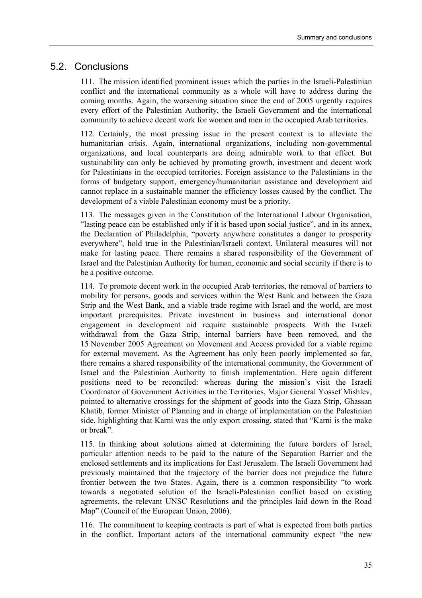### 5.2. Conclusions

111. The mission identified prominent issues which the parties in the Israeli-Palestinian conflict and the international community as a whole will have to address during the coming months. Again, the worsening situation since the end of 2005 urgently requires every effort of the Palestinian Authority, the Israeli Government and the international community to achieve decent work for women and men in the occupied Arab territories.

112. Certainly, the most pressing issue in the present context is to alleviate the humanitarian crisis. Again, international organizations, including non-governmental organizations, and local counterparts are doing admirable work to that effect. But sustainability can only be achieved by promoting growth, investment and decent work for Palestinians in the occupied territories. Foreign assistance to the Palestinians in the forms of budgetary support, emergency/humanitarian assistance and development aid cannot replace in a sustainable manner the efficiency losses caused by the conflict. The development of a viable Palestinian economy must be a priority.

113. The messages given in the Constitution of the International Labour Organisation, "lasting peace can be established only if it is based upon social justice", and in its annex, the Declaration of Philadelphia, "poverty anywhere constitutes a danger to prosperity everywhere", hold true in the Palestinian/Israeli context. Unilateral measures will not make for lasting peace. There remains a shared responsibility of the Government of Israel and the Palestinian Authority for human, economic and social security if there is to be a positive outcome.

114. To promote decent work in the occupied Arab territories, the removal of barriers to mobility for persons, goods and services within the West Bank and between the Gaza Strip and the West Bank, and a viable trade regime with Israel and the world, are most important prerequisites. Private investment in business and international donor engagement in development aid require sustainable prospects. With the Israeli withdrawal from the Gaza Strip, internal barriers have been removed, and the 15 November 2005 Agreement on Movement and Access provided for a viable regime for external movement. As the Agreement has only been poorly implemented so far, there remains a shared responsibility of the international community, the Government of Israel and the Palestinian Authority to finish implementation. Here again different positions need to be reconciled: whereas during the mission's visit the Israeli Coordinator of Government Activities in the Territories, Major General Yossef Mishlev, pointed to alternative crossings for the shipment of goods into the Gaza Strip, Ghassan Khatib, former Minister of Planning and in charge of implementation on the Palestinian side, highlighting that Karni was the only export crossing, stated that "Karni is the make or break".

115. In thinking about solutions aimed at determining the future borders of Israel, particular attention needs to be paid to the nature of the Separation Barrier and the enclosed settlements and its implications for East Jerusalem. The Israeli Government had previously maintained that the trajectory of the barrier does not prejudice the future frontier between the two States. Again, there is a common responsibility "to work towards a negotiated solution of the Israeli-Palestinian conflict based on existing agreements, the relevant UNSC Resolutions and the principles laid down in the Road Map" (Council of the European Union, 2006).

116. The commitment to keeping contracts is part of what is expected from both parties in the conflict. Important actors of the international community expect "the new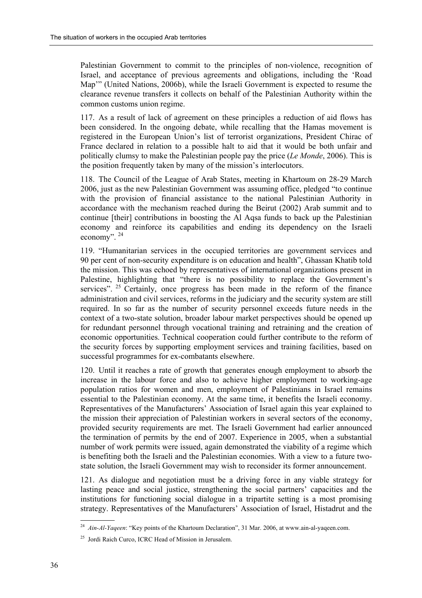Palestinian Government to commit to the principles of non-violence, recognition of Israel, and acceptance of previous agreements and obligations, including the 'Road Map<sup>77</sup> (United Nations, 2006b), while the Israeli Government is expected to resume the clearance revenue transfers it collects on behalf of the Palestinian Authority within the common customs union regime.

117. As a result of lack of agreement on these principles a reduction of aid flows has been considered. In the ongoing debate, while recalling that the Hamas movement is registered in the European Union's list of terrorist organizations, President Chirac of France declared in relation to a possible halt to aid that it would be both unfair and politically clumsy to make the Palestinian people pay the price (*Le Monde*, 2006). This is the position frequently taken by many of the mission's interlocutors.

118. The Council of the League of Arab States, meeting in Khartoum on 28-29 March 2006, just as the new Palestinian Government was assuming office, pledged "to continue" with the provision of financial assistance to the national Palestinian Authority in accordance with the mechanism reached during the Beirut (2002) Arab summit and to continue [their] contributions in boosting the Al Aqsa funds to back up the Palestinian economy and reinforce its capabilities and ending its dependency on the Israeli economy".  $24$ 

119. "Humanitarian services in the occupied territories are government services and 90 per cent of non-security expenditure is on education and health", Ghassan Khatib told the mission. This was echoed by representatives of international organizations present in Palestine, highlighting that "there is no possibility to replace the Government's services".  $25$  Certainly, once progress has been made in the reform of the finance administration and civil services, reforms in the judiciary and the security system are still required. In so far as the number of security personnel exceeds future needs in the context of a two-state solution, broader labour market perspectives should be opened up for redundant personnel through vocational training and retraining and the creation of economic opportunities. Technical cooperation could further contribute to the reform of the security forces by supporting employment services and training facilities, based on successful programmes for ex-combatants elsewhere.

120. Until it reaches a rate of growth that generates enough employment to absorb the increase in the labour force and also to achieve higher employment to working-age population ratios for women and men, employment of Palestinians in Israel remains essential to the Palestinian economy. At the same time, it benefits the Israeli economy. Representatives of the Manufacturers' Association of Israel again this year explained to the mission their appreciation of Palestinian workers in several sectors of the economy, provided security requirements are met. The Israeli Government had earlier announced the termination of permits by the end of 2007. Experience in 2005, when a substantial number of work permits were issued, again demonstrated the viability of a regime which is benefiting both the Israeli and the Palestinian economies. With a view to a future twostate solution, the Israeli Government may wish to reconsider its former announcement.

121. As dialogue and negotiation must be a driving force in any viable strategy for lasting peace and social justice, strengthening the social partners' capacities and the institutions for functioning social dialogue in a tripartite setting is a most promising strategy. Representatives of the Manufacturers' Association of Israel, Histadrut and the

 $^{24}$  *Ain-Al-Yaqeen*: "Key points of the Khartoum Declaration", 31 Mar. 2006, at www.ain-al-yaqeen.com.

<sup>25</sup> Jordi Raich Curco, ICRC Head of Mission in Jerusalem.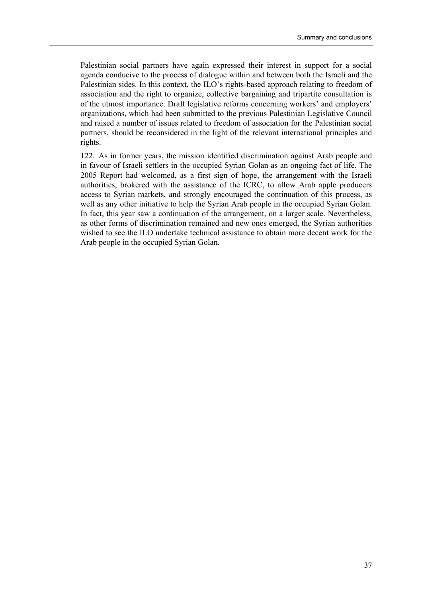Palestinian social partners have again expressed their interest in support for a social agenda conducive to the process of dialogue within and between both the Israeli and the Palestinian sides. In this context, the ILO's rights-based approach relating to freedom of association and the right to organize, collective bargaining and tripartite consultation is of the utmost importance. Draft legislative reforms concerning workers' and employers' organizations, which had been submitted to the previous Palestinian Legislative Council and raised a number of issues related to freedom of association for the Palestinian social partners, should be reconsidered in the light of the relevant international principles and rights.

122. As in former years, the mission identified discrimination against Arab people and in favour of Israeli settlers in the occupied Syrian Golan as an ongoing fact of life. The 2005 Report had welcomed, as a first sign of hope, the arrangement with the Israeli authorities, brokered with the assistance of the ICRC, to allow Arab apple producers access to Syrian markets, and strongly encouraged the continuation of this process, as well as any other initiative to help the Syrian Arab people in the occupied Syrian Golan. In fact, this year saw a continuation of the arrangement, on a larger scale. Nevertheless, as other forms of discrimination remained and new ones emerged, the Syrian authorities wished to see the ILO undertake technical assistance to obtain more decent work for the Arab people in the occupied Syrian Golan.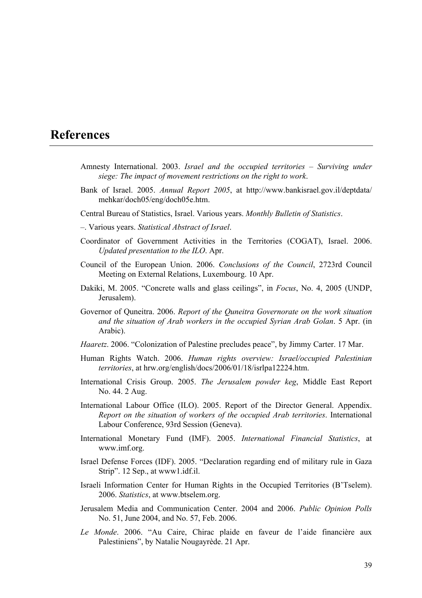### **References**

- Amnesty International. 2003. *Israel and the occupied territories Surviving under siege: The impact of movement restrictions on the right to work*.
- Bank of Israel. 2005. *Annual Report 2005*, at http://www.bankisrael.gov.il/deptdata/ mehkar/doch05/eng/doch05e.htm.
- Central Bureau of Statistics, Israel. Various years. *Monthly Bulletin of Statistics*.
- ñ. Various years. *Statistical Abstract of Israel*.
- Coordinator of Government Activities in the Territories (COGAT), Israel. 2006. *Updated presentation to the ILO*. Apr.
- Council of the European Union. 2006. *Conclusions of the Council*, 2723rd Council Meeting on External Relations, Luxembourg. 10 Apr.
- Dakiki, M. 2005. "Concrete walls and glass ceilings", in *Focus*, No. 4, 2005 (UNDP, Jerusalem).
- Governor of Quneitra. 2006. *Report of the Quneitra Governorate on the work situation and the situation of Arab workers in the occupied Syrian Arab Golan*. 5 Apr. (in Arabic).
- *Haaretz*. 2006. "Colonization of Palestine precludes peace", by Jimmy Carter. 17 Mar.
- Human Rights Watch. 2006. *Human rights overview: Israel/occupied Palestinian territories*, at hrw.org/english/docs/2006/01/18/isrlpa12224.htm.
- International Crisis Group. 2005. *The Jerusalem powder keg*, Middle East Report No. 44. 2 Aug.
- International Labour Office (ILO). 2005. Report of the Director General. Appendix. *Report on the situation of workers of the occupied Arab territories*. International Labour Conference, 93rd Session (Geneva).
- International Monetary Fund (IMF). 2005. *International Financial Statistics*, at www.imf.org.
- Israel Defense Forces (IDF). 2005. "Declaration regarding end of military rule in Gaza Strip". 12 Sep., at www1.idf.il.
- Israeli Information Center for Human Rights in the Occupied Territories (B'Tselem). 2006. *Statistics*, at www.btselem.org.
- Jerusalem Media and Communication Center. 2004 and 2006. *Public Opinion Polls* No. 51, June 2004, and No. 57, Feb. 2006.
- Le Monde. 2006. "Au Caire, Chirac plaide en faveur de l'aide financière aux Palestiniens", by Natalie Nougayrède. 21 Apr.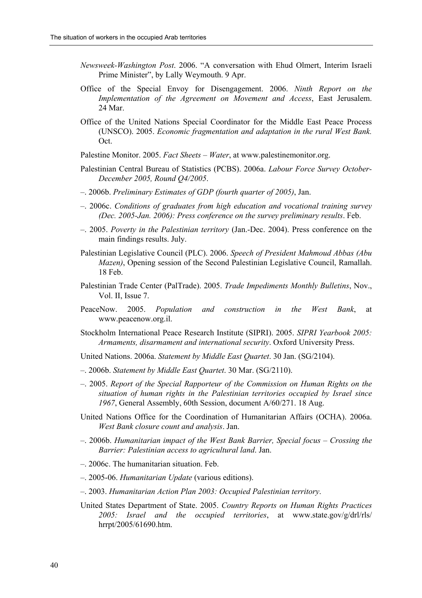- *Newsweek-Washington Post.* 2006. "A conversation with Ehud Olmert, Interim Israeli Prime Minister", by Lally Weymouth. 9 Apr.
- Office of the Special Envoy for Disengagement. 2006. *Ninth Report on the Implementation of the Agreement on Movement and Access*, East Jerusalem. 24 Mar.
- Office of the United Nations Special Coordinator for the Middle East Peace Process (UNSCO). 2005. *Economic fragmentation and adaptation in the rural West Bank.* Oct.
- Palestine Monitor. 2005. *Fact Sheets Water*, at www.palestinemonitor.org.
- Palestinian Central Bureau of Statistics (PCBS). 2006a. *Labour Force Survey October-December 2005, Round Q4/2005*.
- ñ. 2006b. *Preliminary Estimates of GDP (fourth quarter of 2005)*, Jan.
- ñ. 2006c. *Conditions of graduates from high education and vocational training survey (Dec. 2005-Jan. 2006): Press conference on the survey preliminary results*. Feb.
- ñ. 2005. *Poverty in the Palestinian territory* (Jan.-Dec. 2004). Press conference on the main findings results. July.
- Palestinian Legislative Council (PLC). 2006. *Speech of President Mahmoud Abbas (Abu Mazen)*, Opening session of the Second Palestinian Legislative Council, Ramallah. 18 Feb.
- Palestinian Trade Center (PalTrade). 2005. *Trade Impediments Monthly Bulletins*, Nov., Vol. II, Issue 7.
- PeaceNow. 2005. *Population and construction in the West Bank*, at www.peacenow.org.il.
- Stockholm International Peace Research Institute (SIPRI). 2005. *SIPRI Yearbook 2005: Armaments, disarmament and international security*. Oxford University Press.
- United Nations. 2006a. *Statement by Middle East Quartet*. 30 Jan. (SG/2104).
- ñ. 2006b. *Statement by Middle East Quartet*. 30 Mar. (SG/2110).
- $-$ . 2005. *Report of the Special Rapporteur of the Commission on Human Rights on the situation of human rights in the Palestinian territories occupied by Israel since 1967*, General Assembly, 60th Session, document A/60/271. 18 Aug.
- United Nations Office for the Coordination of Humanitarian Affairs (OCHA). 2006a. *West Bank closure count and analysis*. Jan.
- $-$ . 2006b. *Humanitarian impact of the West Bank Barrier, Special focus Crossing the Barrier: Palestinian access to agricultural land*. Jan.
- $-$ . 2006c. The humanitarian situation. Feb.
- ñ. 2005-06. *Humanitarian Update* (various editions).
- ñ. 2003. *Humanitarian Action Plan 2003: Occupied Palestinian territory*.
- United States Department of State. 2005. *Country Reports on Human Rights Practices 2005: Israel and the occupied territories*, at www.state.gov/g/drl/rls/ hrrpt/2005/61690.htm.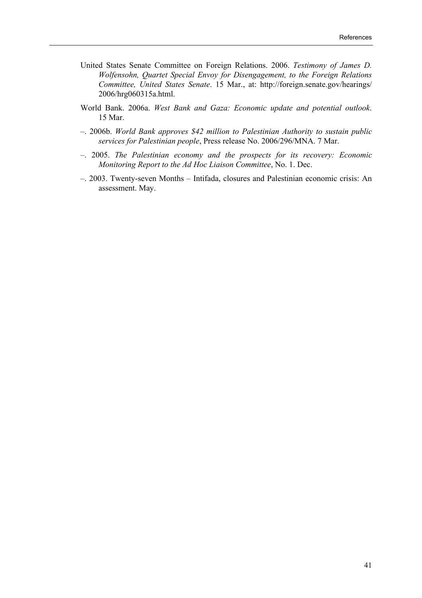- United States Senate Committee on Foreign Relations. 2006. *Testimony of James D. Wolfensohn, Quartet Special Envoy for Disengagement, to the Foreign Relations Committee, United States Senate*. 15 Mar., at: http://foreign.senate.gov/hearings/ 2006/hrg060315a.html.
- World Bank. 2006a. *West Bank and Gaza: Economic update and potential outlook*. 15 Mar.
- ñ. 2006b. *World Bank approves \$42 million to Palestinian Authority to sustain public services for Palestinian people*, Press release No. 2006/296/MNA. 7 Mar.
- ñ. 2005. *The Palestinian economy and the prospects for its recovery: Economic Monitoring Report to the Ad Hoc Liaison Committee*, No. 1. Dec.
- 2003. Twenty-seven Months Intifada, closures and Palestinian economic crisis: An assessment. May.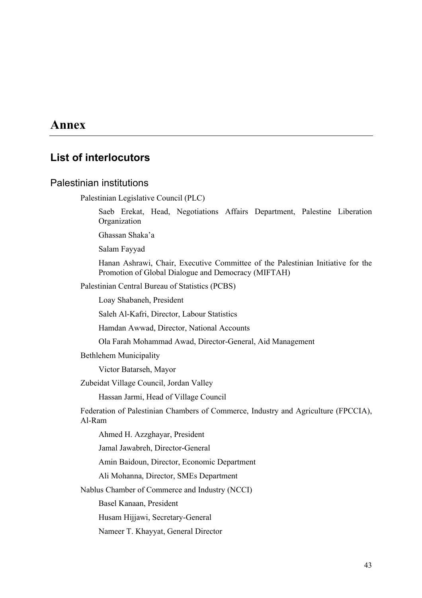### **Annex**

### **List of interlocutors**

#### Palestinian institutions

Palestinian Legislative Council (PLC)

 Saeb Erekat, Head, Negotiations Affairs Department, Palestine Liberation **Organization** 

Ghassan Shaka'a

Salam Fayyad

 Hanan Ashrawi, Chair, Executive Committee of the Palestinian Initiative for the Promotion of Global Dialogue and Democracy (MIFTAH)

Palestinian Central Bureau of Statistics (PCBS)

Loay Shabaneh, President

Saleh Al-Kafri, Director, Labour Statistics

Hamdan Awwad, Director, National Accounts

Ola Farah Mohammad Awad, Director-General, Aid Management

Bethlehem Municipality

Victor Batarseh, Mayor

Zubeidat Village Council, Jordan Valley

Hassan Jarmi, Head of Village Council

Federation of Palestinian Chambers of Commerce, Industry and Agriculture (FPCCIA), Al-Ram

Ahmed H. Azzghayar, President

Jamal Jawabreh, Director-General

Amin Baidoun, Director, Economic Department

Ali Mohanna, Director, SMEs Department

Nablus Chamber of Commerce and Industry (NCCI)

Basel Kanaan, President

Husam Hijjawi, Secretary-General

Nameer T. Khayyat, General Director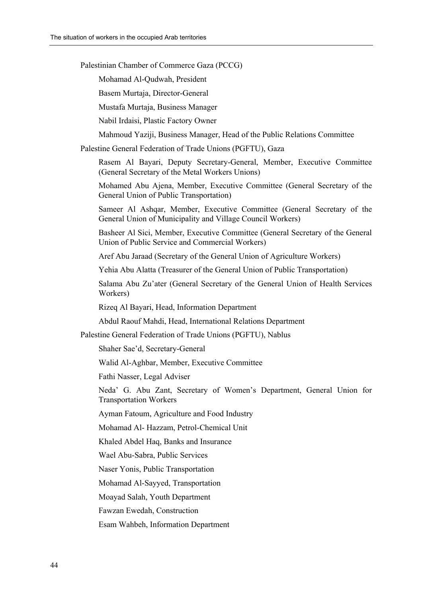Palestinian Chamber of Commerce Gaza (PCCG)

Mohamad Al-Qudwah, President

Basem Murtaja, Director-General

Mustafa Murtaja, Business Manager

Nabil Irdaisi, Plastic Factory Owner

Mahmoud Yaziji, Business Manager, Head of the Public Relations Committee

Palestine General Federation of Trade Unions (PGFTU), Gaza

 Rasem Al Bayari, Deputy Secretary-General, Member, Executive Committee (General Secretary of the Metal Workers Unions)

 Mohamed Abu Ajena, Member, Executive Committee (General Secretary of the General Union of Public Transportation)

 Sameer Al Ashqar, Member, Executive Committee (General Secretary of the General Union of Municipality and Village Council Workers)

 Basheer Al Sici, Member, Executive Committee (General Secretary of the General Union of Public Service and Commercial Workers)

Aref Abu Jaraad (Secretary of the General Union of Agriculture Workers)

Yehia Abu Alatta (Treasurer of the General Union of Public Transportation)

 Salama Abu Zuíater (General Secretary of the General Union of Health Services Workers)

Rizeq Al Bayari, Head, Information Department

Abdul Raouf Mahdi, Head, International Relations Department

Palestine General Federation of Trade Unions (PGFTU), Nablus

Shaher Sae'd, Secretary-General

Walid Al-Aghbar, Member, Executive Committee

Fathi Nasser, Legal Adviser

Neda<sup>'</sup> G. Abu Zant, Secretary of Women's Department, General Union for Transportation Workers

Ayman Fatoum, Agriculture and Food Industry

Mohamad Al- Hazzam, Petrol-Chemical Unit

Khaled Abdel Haq, Banks and Insurance

Wael Abu-Sabra, Public Services

Naser Yonis, Public Transportation

Mohamad Al-Sayyed, Transportation

Moayad Salah, Youth Department

Fawzan Ewedah, Construction

Esam Wahbeh, Information Department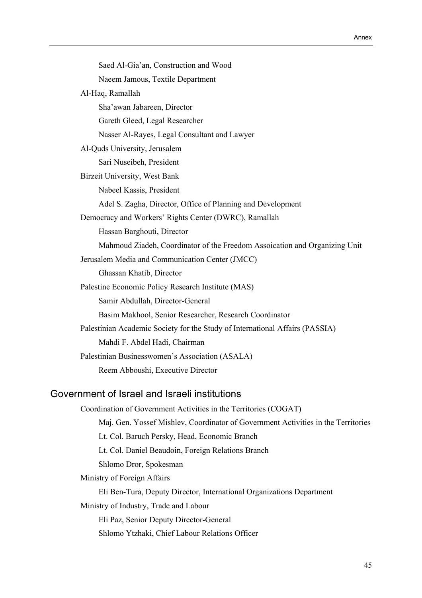| Saed Al-Gia'an, Construction and Wood                                        |
|------------------------------------------------------------------------------|
| Naeem Jamous, Textile Department                                             |
| Al-Haq, Ramallah                                                             |
| Sha'awan Jabareen, Director                                                  |
| Gareth Gleed, Legal Researcher                                               |
| Nasser Al-Rayes, Legal Consultant and Lawyer                                 |
| Al-Quds University, Jerusalem                                                |
| Sari Nuseibeh, President                                                     |
| Birzeit University, West Bank                                                |
| Nabeel Kassis, President                                                     |
| Adel S. Zagha, Director, Office of Planning and Development                  |
| Democracy and Workers' Rights Center (DWRC), Ramallah                        |
| Hassan Barghouti, Director                                                   |
| Mahmoud Ziadeh, Coordinator of the Freedom Assoication and Organizing Unit   |
| Jerusalem Media and Communication Center (JMCC)                              |
| Ghassan Khatib, Director                                                     |
| Palestine Economic Policy Research Institute (MAS)                           |
| Samir Abdullah, Director-General                                             |
| Basim Makhool, Senior Researcher, Research Coordinator                       |
| Palestinian Academic Society for the Study of International Affairs (PASSIA) |
| Mahdi F. Abdel Hadi, Chairman                                                |
| Palestinian Businesswomen's Association (ASALA)                              |
| Reem Abboushi, Executive Director                                            |
|                                                                              |
| Government of Israel and Israeli institutions                                |
|                                                                              |

Coordination of Government Activities in the Territories (COGAT) Maj. Gen. Yossef Mishlev, Coordinator of Government Activities in the Territories Lt. Col. Baruch Persky, Head, Economic Branch Lt. Col. Daniel Beaudoin, Foreign Relations Branch Shlomo Dror, Spokesman Ministry of Foreign Affairs Eli Ben-Tura, Deputy Director, International Organizations Department Ministry of Industry, Trade and Labour

 Eli Paz, Senior Deputy Director-General Shlomo Ytzhaki, Chief Labour Relations Officer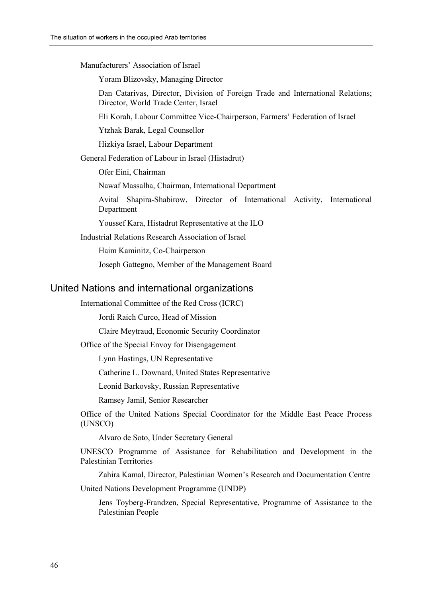Manufacturers' Association of Israel

Yoram Blizovsky, Managing Director

 Dan Catarivas, Director, Division of Foreign Trade and International Relations; Director, World Trade Center, Israel

Eli Korah, Labour Committee Vice-Chairperson, Farmers' Federation of Israel

Ytzhak Barak, Legal Counsellor

Hizkiya Israel, Labour Department

General Federation of Labour in Israel (Histadrut)

Ofer Eini, Chairman

Nawaf Massalha, Chairman, International Department

 Avital Shapira-Shabirow, Director of International Activity, International Department

Youssef Kara, Histadrut Representative at the ILO

Industrial Relations Research Association of Israel

Haim Kaminitz, Co-Chairperson

Joseph Gattegno, Member of the Management Board

#### United Nations and international organizations

International Committee of the Red Cross (ICRC)

Jordi Raich Curco, Head of Mission

Claire Meytraud, Economic Security Coordinator

Office of the Special Envoy for Disengagement

Lynn Hastings, UN Representative

Catherine L. Downard, United States Representative

Leonid Barkovsky, Russian Representative

Ramsey Jamil, Senior Researcher

Office of the United Nations Special Coordinator for the Middle East Peace Process (UNSCO)

Alvaro de Soto, Under Secretary General

UNESCO Programme of Assistance for Rehabilitation and Development in the Palestinian Territories

Zahira Kamal, Director, Palestinian Women's Research and Documentation Centre United Nations Development Programme (UNDP)

 Jens Toyberg-Frandzen, Special Representative, Programme of Assistance to the Palestinian People